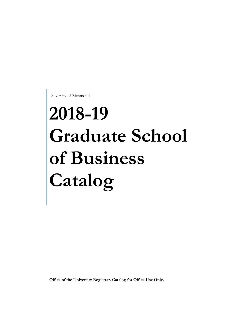University of Richmond

# **2018-19 Graduate School of Business Catalog**

**Office of the University Registrar. Catalog for Office Use Only.**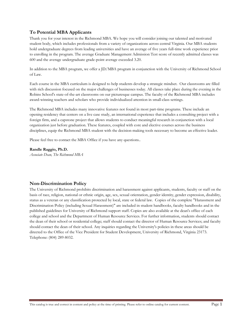### **To Potential MBA Applicants**

Thank you for your interest in the Richmond MBA. We hope you will consider joining our talented and motivated student body, which includes professionals from a variety of organizations across central Virginia. Our MBA students hold undergraduate degrees from leading universities and have an average of five years full-time work experience prior to enrolling in the program. The average Graduate Management Admission Test score of recently admitted classes was 600 and the average undergraduate grade-point average exceeded 3.20.

In addition to the MBA program, we offer a JD/MBA program in conjunction with the University of Richmond School of Law.

Each course in the MBA curriculum is designed to help students develop a strategic mindset. Our classrooms are filled with rich discussion focused on the major challenges of businesses today. All classes take place during the evening in the Robins School's state-of-the-art classrooms on our picturesque campus. The faculty of the Richmond MBA includes award-winning teachers and scholars who provide individualized attention in small-class settings.

The Richmond MBA includes many innovative features not found in most part-time programs. These include an opening residency that centers on a live case study, an international experience that includes a consulting project with a foreign firm, and a capstone project that allows students to conduct meaningful research in conjunction with a local organization just before graduation. These features, coupled with core and elective courses across the business disciplines, equip the Richmond MBA student with the decision-making tools necessary to become an effective leader.

Please feel free to contact the MBA Office if you have any questions..

#### **Randle Raggio, Ph.D.**

*Associate Dean, The Richmond MBA* 

#### **Non-Discrimination Policy**

The University of Richmond prohibits discrimination and harassment against applicants, students, faculty or staff on the basis of race, religion, national or ethnic origin, age, sex, sexual orientation, gender identity, gender expression, disability, status as a veteran or any classification protected by local, state or federal law. Copies of the complete "Harassment and Discrimination Policy (including Sexual Harassment)" are included in student handbooks, faculty handbooks and in the published guidelines for University of Richmond support staff. Copies are also available at the dean's office of each college and school and the Department of Human Resource Services. For further information, students should contact the dean of their school or residential college; staff should contact the director of Human Resource Services; and faculty should contact the dean of their school. Any inquiries regarding the University's policies in these areas should be directed to the Office of the Vice President for Student Development, University of Richmond, Virginia 23173. Telephone: (804) 289-8032.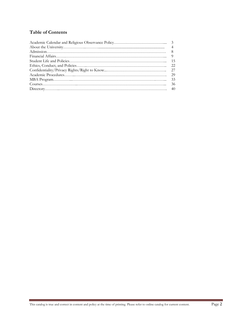## **Table of Contents**

| 33 |
|----|
| 36 |
|    |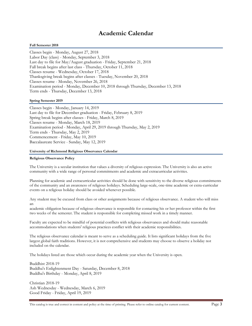## **Academic Calendar**

#### **Fall Semester 2018**

Classes begin - Monday, August 27, 2018 Labor Day (class) - Monday, September 3, 2018 Last day to file for May/August graduation - Friday, September 21, 2018 Fall break begins after last class - Thursday, October 11, 2018 Classes resume - Wednesday, October 17, 2018 Thanksgiving break begins after classes - Tuesday, November 20, 2018 Classes resume - Monday, November 26, 2018 Examination period - Monday, December 10, 2018 through Thursday, December 13, 2018 Term ends - Thursday, December 13, 2018

#### **Spring Semester 2019**

Classes begin - Monday, January 14, 2019 Last day to file for December graduation - Friday, February 8, 2019 Spring break begins after classes - Friday, March 8, 2019 Classes resume - Monday, March 18, 2019 Examination period - Monday, April 29, 2019 through Thursday, May 2, 2019 Term ends - Thursday, May 2, 2019 Commencement - Friday, May 10, 2019 Baccalaureate Service - Sunday, May 12, 2019

#### **University of Richmond Religious Observance Calendar**

#### **Religious Observance Policy**

The University is a secular institution that values a diversity of religious expression. The University is also an active community with a wide range of personal commitments and academic and extracurricular activities.

Planning for academic and extracurricular activities should be done with sensitivity to the diverse religious commitments of the community and an awareness of religious holidays. Scheduling large-scale, one-time academic or extra-curricular events on a religious holiday should be avoided whenever possible.

Any student may be excused from class or other assignments because of religious observance. A student who will miss an

academic obligation because of religious observance is responsible for contacting his or her professor within the first two weeks of the semester. The student is responsible for completing missed work in a timely manner.

Faculty are expected to be mindful of potential conflicts with religious observances and should make reasonable accommodations when students' religious practices conflict with their academic responsibilities.

The religious observance calendar is meant to serve as a scheduling guide. It lists significant holidays from the five largest global faith traditions. However, it is not comprehensive and students may choose to observe a holiday not included on the calendar.

The holidays listed are those which occur during the academic year when the University is open.

Buddhist 2018-19 Buddha's Enlightenment Day - Saturday, December 8, 2018 Buddha's Birthday - Monday, April 8, 2019

Christian 2018-19 Ash Wednesday - Wednesday, March 6, 2019 Good Friday - Friday, April 19, 2019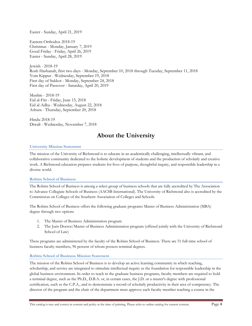Easter - Sunday, April 21, 2019

Eastern Orthodox 2018-19 Christmas - Monday, January 7, 2019 Good Friday - Friday, April 26, 2019 Easter - Sunday, April 28, 2019

Jewish - 2018-19 Rosh Hashanah, first two days - Monday, September 10, 2018 through Tuesday, September 11, 2018 Yom Kippur - Wednesday, September 19, 2018 First day of Sukkot - Monday, September 24, 2018 First day of Passover - Saturday, April 20, 2019

Muslim - 2018-19 Eid al-Fitr - Friday, June 15, 2018 Eid al-Adha - Wednesday, August 22, 2018 Ashura - Thursday, September 20, 2018

Hindu 2018-19 Diwali - Wednesday, November 7, 2018

# **About the University**

#### **University Mission Statement**

The mission of the University of Richmond is to educate in an academically challenging, intellectually vibrant, and collaborative community dedicated to the holistic development of students and the production of scholarly and creative work. A Richmond education prepares students for lives of purpose, thoughtful inquiry, and responsible leadership in a diverse world.

#### **Robins School of Business**

The Robins School of Business is among a select group of business schools that are fully accredited by The Association to Advance Collegiate Schools of Business (AACSB International). The University of Richmond also is accredited by the Commission on Colleges of the Southern Association of Colleges and Schools.

The Robins School of Business offers the following graduate programs Master of Business Administration (MBA) degree through two options

- 1. The Master of Business Administration program
- 2. The Juris Doctor/Master of Business Administration program (offered jointly with the University of Richmond School of Law)

These programs are administered by the faculty of the Robins School of Business. There are 51 full-time school of business faculty members, 96 percent of whom possess terminal degrees.

#### **Robins School of Business Mission Statement**

The mission of the Robins School of Business is to develop an active learning community in which teaching, scholarship, and service are integrated to stimulate intellectual inquiry as the foundation for responsible leadership in the global business environment. In order to teach in the graduate business programs, faculty members are required to hold a terminal degree, such as the Ph.D., D.B.A. or, in certain cases, the J.D. or a master's degree with professional certification, such as the C.P.A., and to demonstrate a record of scholarly productivity in their area of competency. The director of the program and the chair of the department must approve each faculty member teaching a course in the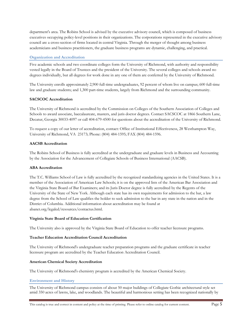department's area. The Robins School is advised by the executive advisory council, which is composed of business executives occupying policy-level positions in their organizations. The corporations represented in the executive advisory council are a cross-section of firms located in central Virginia. Through the merger of thought among business academicians and business practitioners, the graduate business programs are dynamic, challenging, and practical.

#### **Organization and Accreditation**

Five academic schools and two coordinate colleges form the University of Richmond, with authority and responsibility vested legally in the Board of Trustees and the president of the University. The several colleges and schools award no degrees individually, but all degrees for work done in any one of them are conferred by the University of Richmond.

The University enrolls approximately 2,900 full-time undergraduates, 92 percent of whom live on campus; 600 full-time law and graduate students; and 1,300 part-time students, largely from Richmond and the surrounding community.

#### **SACSCOC Accreditation**

The University of Richmond is accredited by the Commission on Colleges of the Southern Association of Colleges and Schools to award associate, baccalaureate, masters, and juris doctor degrees. Contact SACSCOC at 1866 Southern Lane, Decatur, Georgia 30033-4097 or call 404-679-4500 for questions about the accreditation of the University of Richmond.

To request a copy of our letter of accreditation, contact: Office of Institutional Effectiveness, 28 Westhampton Way, University of Richmond, VA 23173; Phone: (804) 484-1595; FAX (804) 484-1596.

#### **AACSB Accreditation**

The Robins School of Business is fully accredited at the undergraduate and graduate levels in Business and Accounting by the Association for the Advancement of Collegiate Schools of Business International (AACSB).

#### **ABA Accreditation**

The T.C. Williams School of Law is fully accredited by the recognized standardizing agencies in the United States. It is a member of the Association of American Law Schools; it is on the approved lists of the American Bar Association and the Virginia State Board of Bar Examiners; and its Juris Doctor degree is fully accredited by the Regents of the University of the State of New York. Although each state has its own requirements for admission to the bar, a law degree from the School of Law qualifies the holder to seek admission to the bar in any state in the nation and in the District of Columbia. Additional information about accreditation may be found at abanet.org/legaled/resources/contactus.html.

#### **Virginia State Board of Education Certification**

The University also is approved by the Virginia State Board of Education to offer teacher licensure programs.

#### **Teacher Education Accreditation Council Accreditation**

The University of Richmond's undergraduate teacher preparation programs and the graduate certificate in teacher licensure program are accredited by the Teacher Education Accreditation Council.

#### **American Chemical Society Accreditation**

The University of Richmond's chemistry program is accredited by the American Chemical Society.

#### **Environment and History**

The University of Richmond campus consists of about 50 major buildings of Collegiate Gothic architectural style set amid 350 acres of lawns, lake, and woodlands. The beautiful and harmonious setting has been recognized nationally by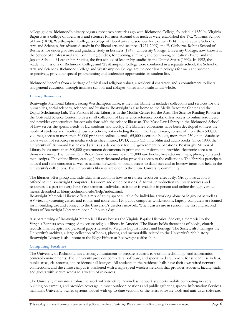college guides. Richmond's history began almost two centuries ago with Richmond College, founded in 1830 by Virginia Baptists as a college of liberal arts and sciences for men. Around this nucleus were established the T.C. Williams School of Law (1870); Westhampton College, a college of liberal arts and sciences for women (1914); the Graduate School of Arts and Sciences, for advanced study in the liberal arts and sciences (1921-2009); the E. Claiborne Robins School of Business, for undergraduate and graduate study in business (1949); University College, University College, now known as the School of Professional and Continuing Studies, for evening, summer, and continuing education (1962); and the Jepson School of Leadership Studies, the first school of leadership studies in the United States (1992). In 1992, the academic missions of Richmond College and Westhampton College were combined in a separate school, the School of Arts and Sciences. Richmond College and Westhampton College are the coordinate colleges for men and women respectively, providing special programming and leadership opportunities in student life.

Richmond benefits from a heritage of ethical and religious values, a residential character, and a commitment to liberal and general education through intimate schools and colleges joined into a substantial whole.

#### **Library Resources**

Boatwright Memorial Library, facing Westhampton Lake, is the main library. It includes collections and services for the humanities, social sciences, sciences, and business. Boatwright is also home to the Media Resource Center and the Digital Scholarship Lab. The Parsons Music Library is in the Modlin Center for the Arts. The Science Reading Room in the Gottwald Science Center holds a small collection of key science reference books, offers access to online resources, and provides opportunities for consultations with the science librarian. The Muse Law Library in the Richmond School of Law serves the special needs of law students and faculty. The libraries' collections have been developed to meet the needs of students and faculty. Those collections, not including those in the Law Library, consist of more than 500,000 volumes, access to more than 30,000 print and online journals, 65,000 electronic books, more than 230 online databases and a wealth of resources in media such as sheet music, DVD, audio CD, microfilm and audio books. Since 1900, the University of Richmond has enjoyed status as a depository for U.S. government publications. Boatwright Memorial Library holds more than 500,000 government documents in print and microform and provides electronic access to thousands more. The Galvin Rare Book Room contains nearly 25,000 rare books, first editions, maps, photographs and manuscripts. The online library catalog (library.richmond.edu) provides access to the collections. The libraries participate in local and state consortia as well as national networks to obtain access to databases and to borrow items not held in the University's collections. The University's libraries are open to the entire University community.

The libraries offer group and individual instruction in how to use these resources effectively. Group instruction is offered in the Boatwright Computer Classroom and other locations. A formal introduction to library services and resources is a part of every First Year seminar. Individual assistance is available in person and online through various means described at library.richmond.edu/help/index.html.

Boatwright Memorial Library offers a mix of study space suitable for individuals working alone or in groups as well as AV viewing/listening carrels and rooms and more than 120 public computer workstations. Laptop computers are loaned for in-building use and connect to the University's wireless network. When classes are in session, the first and second floors of Boatwright Library are open 24 hours a day.

A separate wing of Boatwright Memorial Library houses the Virginia Baptist Historical Society, a memorial to the Virginia Baptists who struggled to secure religious liberty in America. The library holds thousands of books, church records, manuscripts, and personal papers related to Virginia Baptist history and heritage. The Society also manages the University's archives, a large collection of books, photos, and memorabilia related to the University's rich history. Boatwright Library is also home to the Eight Fifteen at Boatwright coffee shop.

#### **Computing Facilities**

The University of Richmond has a strong commitment to prepare students to work in technology- and informationcentered environments. The University provides computers, software, and specialized equipment for student use in labs, public areas, classrooms, and residence hall lounges. All students in the residence halls have their own wired network connections, and the entire campus is blanketed with a high-speed wireless network that provides students, faculty, staff, and guests with secure access to a wealth of resources.

The University maintains a robust network infrastructure. A wireless network supports mobile computing in every building on campus, and provides coverage in most outdoor locations and public gathering spaces. Information Services maintains University-owned systems loaded with up-to-date versions of the latest software tools and anti-virus software.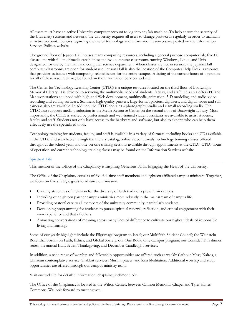All users must have an active University computer account to log into any lab machine. To help ensure the security of the University systems and network, the University requires all users to change passwords regularly in order to maintain an active account. Policies regarding the use of technology and information resources are posted on the Information Services Policies website.

The ground floor of Jepson Hall houses many computing resources, including a general purpose computer lab; five PC classrooms with full multimedia capabilities; and two computer classrooms running Windows, Linux, and Unix designated for use by the math and computer science department. When classes are not in session, the Jepson Hall computer classrooms are open for student use. Jepson Hall is also the location of the Computer Help Desk, a resource that provides assistance with computing-related issues for the entire campus. A listing of the current hours of operation for all of these resources may be found on the Information Services website.

The Center for Technology Learning Center (CTLC) is a unique resource located on the third floor of Boatwright Memorial Library. It is devoted to servicing the multimedia needs of students, faculty, and staff. This area offers PC and Mac workstations equipped with high-end Web development, multimedia, animation, 3-D modeling, and audio-video recording and editing software. Scanners, high quality printers, large-format plotters, digitizers, and digital video and still cameras also are available. In addition, the CTLC contains a photography studio and a small recording studio. The CTLC also supports media production in the Media Resource Center on the second floor of Boatwright Library. Most importantly, the CTLC is staffed by professionals and well-trained student assistants are available to assist students, faculty and staff. Students not only have access to the hardware and software, but also to experts who can help them effectively use the specialized tools.

Technology training for students, faculty, and staff is available in a variety of formats, including books and CDs available in the CTLC and searchable through the Library catalog; online video tutorials; technology training classes offered throughout the school year; and one-on-one training sessions available through appointments at the CTLC. CTLC hours of operation and current technology training classes may be found on the Information Services website.

#### **Spiritual Life**

This mission of the Office of the Chaplaincy is Inspiring Generous Faith; Engaging the Heart of the University.

The Office of the Chaplaincy consists of five full-time staff members and eighteen affiliated campus ministers. Together, we focus on five strategic goals to advance our mission:

- Creating structures of inclusion for the diversity of faith traditions present on campus.
- Including our eighteen partner campus ministries more robustly in the mainstream of campus life.
- Providing pastoral care to all members of the university community, particularly students.
- Developing programming for students to pursue spiritual renewal, reflection, and critical engagement with their own experience and that of others.
- Animating conversations of meaning across many lines of difference to cultivate our highest ideals of responsible living and learning.

Some of our yearly highlights include the Pilgrimage program to Israel; our Multifaith Student Council; the Weinstein-Rosenthal Forum on Faith, Ethics, and Global Society; our One Book, One Campus program; our Consider This dinner series; the annual Iftar, Seder, Thanksgiving, and December Candlelight services.

In addition, a wide range of worship and fellowship opportunities are offered such as weekly Catholic Mass; Kairos, a Christian contemplative service; Shabbat services; Muslim prayer; and Zen Meditation. Additional worship and study opportunities are offered through our campus ministry team.

Visit our website for detailed information: chaplaincy.richmond.edu.

The Office of the Chaplaincy is located in the Wilton Center, between Cannon Memorial Chapel and Tyler Hanes Commons. We look forward to meeting you.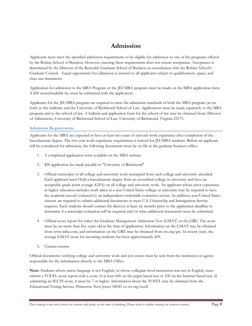## **Admission**

Applicants must meet the specified admission requirements to be eligible for admission to one of the programs offered by the Robins School of Business. However, meeting these requirements does not ensure acceptance. Acceptance is determined by the Director of the Reynolds Graduate School of Business in consultation with the Robins School's Graduate Council. Equal opportunity for admission is assured to all applicants subject to qualifications, space, and class-size limitations.

Application for admission to the MBA Program or the JD/MBA program must be made on the MBA application form. A \$50 nonrefundable fee must be submitted with the application.

Applicants for the JD/MBA program are required to meet the admission standards of both the MBA program (as set forth in this bulletin) and the University of Richmond School of Law. Applications must be made separately to the MBA program and to the school of law. A bulletin and application form for the school of law may be obtained from: Director of Admissions, University of Richmond School of Law, University of Richmond, Virginia 23173.

**Admission Requirements** 

Applicants for the MBA are expected to have at least two years of relevant work experience after completion of the baccalaureate degree. The two-year work experience requirement is waived for JD/MBA students. Before an applicant will be considered for admission, the following documents must be on file in the graduate business office:

- 1. A completed application form available on the MBA website
- 2. \$50 application fee made payable to "University of Richmond"
- 3. Official transcripts of all college and university work attempted from each college and university attended. Each applicant must Hold a baccalaureate degree from an accredited college or university and have an acceptable grade point average (GPA) on all college and university work. An applicant whose prior experience in higher education includes work taken at a non-United States college or university may be required to have the academic record evaluated by an independent credentials evaluation service. In addition, non-United States citizens are required to submit additional documents to meet U.S. Citizenship and Immigration Service requests. Such students should contact the director at least six months prior to the application deadline to determine if a transcript evaluation will be required and/or what additional documents must be submitted.
- 4. Official score report for either the Graduate Management Admission Test (GMAT) or the GRE. The score must be no more than five years old at the time of application. Information on the GMAT may be obtained from www.mba.com, and information on the GRE may be obtained from ets.org/gre. In recent years, the average GMAT score for incoming students has been approximately 605.
- 5. Current resume

Official documents verifying college and university work and test scores must be sent from the institution or agency responsible for the information directly to the MBA Office.

**Note:** Students whose native language is not English, or whose collegiate-level instruction was not in English, must submit a TOEFL score report with a score of at least 600 on the paper based test or 100 on the Internet based test. If submitting an IELTS score, it must be 7 or higher. Information about the TOEFL may be obtained from the Educational Testing Service, Princeton, New Jersey 08541 or ets.org/toefl.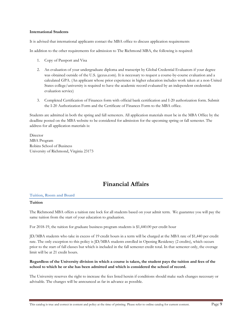#### **International Students**

It is advised that international applicants contact the MBA office to discuss application requirements

In addition to the other requirements for admission to The Richmond MBA, the following is required:

- 1. Copy of Passport and Visa
- 2. An evaluation of your undergraduate diploma and transcript by Global Credential Evaluators if your degree was obtained outside of the U.S. (gceus.com). It is necessary to request a course-by-course evaluation and a calculated GPA. (An applicant whose prior experience in higher education includes work taken at a non-United States college/university is required to have the academic record evaluated by an independent credentials evaluation service)
- 3. Completed Certification of Finances form with official bank certification and I-20 authorization form. Submit the I-20 Authorization Form and the Certificate of Finances Form to the MBA office.

Students are admitted in both the spring and fall semesters. All application materials must be in the MBA Office by the deadline posted on the MBA website to be considered for admission for the upcoming spring or fall semester. The address for all application materials is:

**Director** MBA Program Robins School of Business University of Richmond, Virginia 23173

## **Financial Affairs**

#### **Tuition, Room and Board**

#### **Tuition**

The Richmond MBA offers a tuition rate lock for all students based on your admit term. We guarantee you will pay the same tuition from the start of your education to graduation.

For 2018-19, the tuition for graduate business program students is \$1,440.00 per credit hour

JD/MBA students who take in excess of 19 credit hours in a term will be charged at the MBA rate of \$1,440 per credit rate. The only exception to this policy is JD/MBA students enrolled in Opening Residency (2 credits), which occurs prior to the start of fall classes but which is included in the fall semester credit total. In that semester only, the overage limit will be at 21 credit hours.

#### **Regardless of the University division in which a course is taken, the student pays the tuition and fees of the school to which he or she has been admitted and which is considered the school of record.**

The University reserves the right to increase the fees listed herein if conditions should make such changes necessary or advisable. The changes will be announced as far in advance as possible.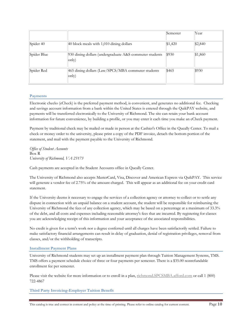|             |                                                                  | Semester | Year    |
|-------------|------------------------------------------------------------------|----------|---------|
| Spider 40   | 40 block meals with 1,010 dining dollars                         | \$1,420  | \$2,840 |
| Spider Blue | 930 dining dollars (undergraduate A&S commuter students<br>only) | \$930    | \$1,860 |
| Spider Red  | 465 dining dollars (Law/SPCS/MBA commuter students<br>only)      | \$465    | \$930   |

#### **Payments**

Electronic checks (eCheck) is the preferred payment method, is convenient, and generates no additional fee. Checking and savings account information from a bank within the United States is entered through the QuikPAY website, and payments will be transferred electronically to the University of Richmond. The site can retain your bank account information for future convenience, by building a profile, or you may enter it each time you make an eCheck payment.

Payment by traditional check may be mailed or made in person at the Cashier's Office in the Queally Center. To mail a check or money order to the university, please print a copy of the PDF invoice, detach the bottom portion of the statement, and mail with the payment payable to the University of Richmond.

*Office of Student Accounts* Box R *University of Richmond, VA 23173* 

Cash payments are accepted in the Student Accounts office in Queally Center.

The University of Richmond also accepts MasterCard, Visa, Discover and American Express via QuikPAY. This service will generate a vendor fee of 2.75% of the amount charged. This will appear as an additional fee on your credit card statement.

If the University deems it necessary to engage the services of a collection agency or attorney to collect or to settle any dispute in connection with an unpaid balance on a student account, the student will be responsible for reimbursing the University of Richmond the fees of any collection agency, which may be based on a percentage at a maximum of 33.3% of the debt, and all costs and expenses including reasonable attorney's fees that are incurred. By registering for classes you are acknowledging receipt of this information and your acceptance of the associated responsibilities.

No credit is given for a term's work nor a degree conferred until all charges have been satisfactorily settled. Failure to make satisfactory financial arrangements can result in delay of graduation, denial of registration privileges, removal from classes, and/or the withholding of transcripts.

#### **Installment Payment Plans**

University of Richmond students may set up an installment payment plan through Tuition Management Systems, TMS. TMS offers a payment schedule choice of three or four payments per semester. There is a \$35.00 nonrefundable enrollment fee per semester.

Please visit the website for more information or to enroll in a plan, richmond.SPCSMBA.afford.com or call 1 (800) 722-4867

**Third Party Invoicing-Employer Tuition Benefit**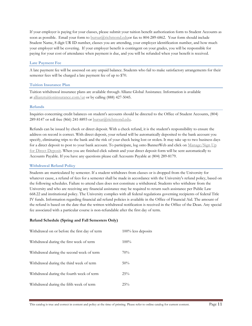If your employer is paying for your classes, please submit your tuition benefit authorization form to Student Accounts as soon as possible. Email your form to bursar@richmond.eduor fax to 804-289-6862. Your form should include Student Name, 8 digit UR ID number, classes you are attending, your employer identification number, and how much your employer will be covering. If your employer benefit is contingent on your grades, you will be responsible for paying for your cost of attendance when payment is due, and you will be refunded when your benefit is received.

#### **Late Payment Fee**

A late payment fee will be assessed on any unpaid balance. Students who fail to make satisfactory arrangements for their semester fees will be charged a late payment fee of up to \$70.

#### **Tuition Insurance Plan**

Tuition withdrawal insurance plans are available through Allianz Global Assistance. Information is available at allianztuitioninsurance.com/ur or by calling (888) 427-5045.

#### **Refunds**

Inquiries concerning credit balances on student's accounts should be directed to the Office of Student Accounts, (804) 289-8147 or toll free (866) 241-8893 or bursar@richmond.edu.

Refunds can be issued by check or direct deposit. With a check refund, it is the student's responsibility to ensure the address on record is correct. With direct deposit, your refund will be automatically deposited to the bank account you specify, eliminating trips to the bank and the risk of your check being lost or stolen. It may take up to two business days for a direct deposit to post to your bank account. To participate, log onto BannerWeb and click on Manage/Sign Up for Direct Deposit. When you are finished click submit and your direct deposit form will be sent automatically to Accounts Payable. If you have any questions please call Accounts Payable at (804) 289-8179.

#### **Withdrawal Refund Policy**

Students are matriculated by semester. If a student withdraws from classes or is dropped from the University for whatever cause, a refund of fees for a semester shall be made in accordance with the University's refund policy, based on the following schedules. Failure to attend class does not constitute a withdrawal. Students who withdraw from the University and who are receiving any financial assistance may be required to return such assistance per Public Law 668.22 and institutional policy. The University complies with all federal regulations governing recipients of federal Title IV funds. Information regarding financial aid refund policies is available in the Office of Financial Aid. The amount of the refund is based on the date that the written withdrawal notification is received in the Office of the Dean. Any special fee associated with a particular course is non-refundable after the first day of term.

#### **Refund Schedule (Spring and Fall Semesters Only)**

| Withdrawal on or before the first day of term | $100\%$ less deposits |
|-----------------------------------------------|-----------------------|
| Withdrawal during the first week of term      | $100\%$               |
| Withdrawal during the second week of term     | 70%                   |
| Withdrawal during the third week of term      | 50%                   |
| Withdrawal during the fourth week of term     | 25%                   |
| Withdrawal during the fifth week of term      | 25%                   |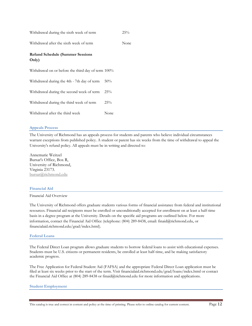| Withdrawal during the sixth week of term           |      | 25%  |
|----------------------------------------------------|------|------|
| Withdrawal after the sixth week of term            |      | None |
| <b>Refund Schedule (Summer Sessions</b><br>Only)   |      |      |
| Withdrawal on or before the third day of term 100% |      |      |
| Withdrawal during the 4th - 7th day of term        | 50%  |      |
| Withdrawal during the second week of term          | 25%  |      |
| Withdrawal during the third week of term           | 25%  |      |
| Withdrawal after the third week                    | None |      |

#### **Appeals Process**

The University of Richmond has an appeals process for students and parents who believe individual circumstances warrant exceptions from published policy. A student or parent has six weeks from the time of withdrawal to appeal the University's refund policy. All appeals must be in writing and directed to:

Annemarie Weitzel Bursar's Office, Box R, University of Richmond, Virginia 23173. bursar@richmond.edu

#### **Financial Aid**

#### Financial Aid Overview

The University of Richmond offers graduate students various forms of financial assistance from federal and institutional resources. Financial aid recipients must be enrolled or unconditionally accepted for enrollment on at least a half-time basis in a degree program at the University. Details on the specific aid programs are outlined below. For more information, contact the Financial Aid Office (telephone: (804) 289-8438, email: finaid@richmond.edu, or financialaid.richmond.edu/grad/index.html).

#### **Federal Loans**

The Federal Direct Loan program allows graduate students to borrow federal loans to assist with educational expenses. Students must be U.S. citizens or permanent residents, be enrolled at least half-time, and be making satisfactory academic progress.

The Free Application for Federal Student Aid (FAFSA) and the appropriate Federal Direct Loan application must be filed at least six weeks prior to the start of the term. Visit financialaid.richmond.edu/grad/loans/index.html or contact the Financial Aid Office at (804) 289-8438 or finaid@richmond.edu for more information and applications.

#### **Student Employment**

This catalog is true and correct in content and policy at the time of printing. Please refer to online catalog for current content. Page 12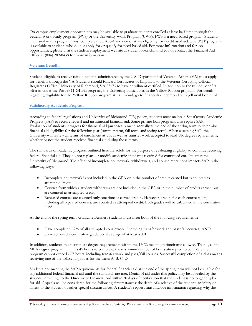On-campus employment opportunities may be available to graduate students enrolled at least half-time through the Federal Work-Study program (FWS) or the University Work Program (UWP). FWS is a need-based program. Students interested in this program must complete the FAFSA and demonstrate eligibility for need-based aid. The UWP program is available to students who do not apply for or qualify for need-based aid. For more information and for job opportunities, please visit the student employment website at studentjobs.richmond.edu or contact the Financial Aid Office at (804) 289-8438 for more information.

#### **Veterans Benefits**

Students eligible to receive tuition benefits administered by the U.S. Department of Veterans Affairs (VA) must apply for benefits through the VA. Students should forward Certificates of Eligibility to the Veterans Certifying Official, Registrar's Office, University of Richmond, VA 23173 to have enrollment certified. In addition to the tuition benefits offered under the Post 9/11 GI Bill program, the University participates in the Yellow Ribbon program. For details regarding eligibility for the Yellow Ribbon program at Richmond, go to financialaid.richmond.edu/yellowribbon.html.

#### **Satisfactory Academic Progress**

According to federal regulations and University of Richmond (UR) policy, students must maintain Satisfactory Academic Progress (SAP) to receive federal and institutional financial aid. Some private loan programs also require SAP. Evaluation of students' progress for financial aid purposes is made annually at the end of the spring term to determine financial aid eligibility for the following year (summer term, fall term, and spring term). When assessing SAP, the University will review all terms of enrollment at UR as well as transfer work accepted toward UR degree requirements, whether or not the student received financial aid during those terms.

The standards of academic progress outlined here are solely for the purpose of evaluating eligibility to continue receiving federal financial aid. They do not replace or modify academic standards required for continued enrollment at the University of Richmond. The effect of incomplete coursework, withdrawals, and course repetitions impacts SAP in the following ways:

- Incomplete coursework is not included in the GPA or in the number of credits earned but is counted as attempted credit.
- Courses from which a student withdraws are not included in the GPA or in the number of credits earned but are counted as attempted credit.
- Repeated courses are counted only one time as earned credits. However, credits for each course taken, including all repeated courses, are counted as attempted credit. Both grades will be calculated in the cumulative GPA.

At the end of the spring term, Graduate Business students must meet both of the following requirements:

- Have completed 67% of all attempted coursework, (including transfer work and pass/fail courses) AND
- Have achieved a cumulative grade point average of at least a 3.0

In addition, students must complete degree requirements within the 150% maximum timeframe allowed. That is, as the MBA degree program requires 45 hours to complete, the maximum number of hours attempted to complete the program cannot exceed - 67 hours, including transfer work and pass/fail courses. Successful completion of a class means receiving one of the following grades for the class: A, B, C, D.

Students not meeting the SAP requirements for federal financial aid at the end of the spring term will not be eligible for any additional federal financial aid until the standards are met. Denial of aid under this policy may be appealed by the student, in writing, to the Director of Financial Aid within 30 days of notification that the student is no longer eligible for aid. Appeals will be considered for the following circumstances: the death of a relative of the student; an injury or illness to the student; or other special circumstances. A student's request must include information regarding why the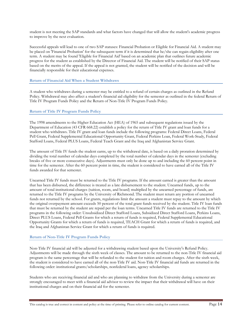student is not meeting the SAP standards and what factors have changed that will allow the student's academic progress to improve by the next evaluation.

Successful appeals will lead to one of two SAP statuses: Financial Probation or Eligible for Financial Aid. A student may be placed on 'Financial Probation' for the subsequent term if it is determined that he/she can regain eligibility after one term. A student may be found 'Eligible for Financial Aid' based on an academic plan that outlines future academic progress for the student as established by the Director of Financial Aid. The student will be notified of their SAP status based on the merits of the appeal. If the appeal is not granted, the student will be notified of the decision and will be financially responsible for their educational expenses.

#### **Return of Financial Aid When a Student Withdraws**

A student who withdraws during a semester may be entitled to a refund of certain charges as outlined in the Refund Policy. Withdrawal may also affect a student's financial aid eligibility for the semester as outlined in the federal Return of Title IV Program Funds Policy and the Return of Non-Title IV Program Funds Policy.

#### **Return of Title IV Program Funds Policy**

The 1998 amendments to the Higher Education Act (HEA) of 1965 and subsequent regulations issued by the Department of Education (43 CFR 668.22) establish a policy for the return of Title IV grant and loan funds for a student who withdraws. Title IV grant and loan funds include the following programs: Federal Direct Loans, Federal Pell Grant, Federal Supplemental Educational Opportunity Grant, Federal Perkins Loan, Federal Work-Study, Federal Stafford Loans, Federal PLUS Loans, Federal Teach Grant and the Iraq and Afghanistan Service Grant.

The amount of Title IV funds the student earns, up to the withdrawal date, is based on a daily proration determined by dividing the total number of calendar days completed by the total number of calendar days in the semester (excluding breaks of five or more consecutive days). Adjustments must only be done up to and including the 60 percent point in time for the semester. After the 60 percent point in time, the student is considered to have earned all of the Title IV funds awarded for that semester.

Unearned Title IV funds must be returned to the Title IV programs. If the amount earned is greater than the amount that has been disbursed, the difference is treated as a late disbursement to the student. Unearned funds, up to the amount of total institutional charges (tuition, room, and board) multiplied by the unearned percentage of funds, are returned to the Title IV programs by the University of Richmond. The student must return any portion of unearned funds not returned by the school. For grants, regulations limit the amount a student must repay to the amount by which the original overpayment amount exceeds 50 percent of the total grant funds received by the student. Title IV loan funds that must be returned by the student are repaid per the loan terms. Unearned Title IV funds are returned to the Title IV programs in the following order: Unsubsidized Direct Stafford Loans, Subsidized Direct Stafford Loans, Perkins Loans, Direct PLUS Loans, Federal Pell Grants for which a return of funds is required, Federal Supplemental Educational Opportunity Grants for which a return of funds is required, TEACH Grant for which a return of funds is required, and the Iraq and Afghanistan Service Grant for which a return of funds is required.

#### **Return of Non-Title IV Program Funds Policy**

Non-Title IV financial aid will be adjusted for a withdrawing student based upon the University's Refund Policy. Adjustments will be made through the sixth week of classes. The amount to be returned to the non-Title IV financial aid program is the same percentage that will be refunded to the student for tuition and room charges. After the sixth week, the student is considered to have earned all of the non-Title IV aid. Non-Title IV financial aid funds are returned in the following order: institutional grants/scholarships, nonfederal loans, agency scholarships.

Students who are receiving financial aid and who are planning to withdraw from the University during a semester are strongly encouraged to meet with a financial aid advisor to review the impact that their withdrawal will have on their institutional charges and on their financial aid for the semester.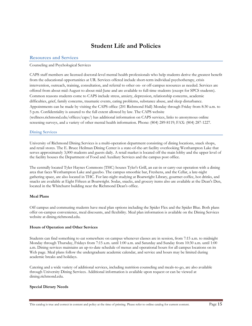## **Student Life and Policies**

#### **Resources and Services**

#### Counseling and Psychological Services

CAPS staff members are licensed doctoral-level mental health professionals who help students derive the greatest benefit from the educational opportunities at UR. Services offered include short-term individual psychotherapy, crisis intervention, outreach, training, consultation, and referral to other on- or off-campus resources as needed. Services are offered from about mid-August to about mid-June and are available to full-time students (except for SPCS students). Common reasons students come to CAPS include stress, anxiety, depression, relationship concerns, academic difficulties, grief, family concerns, traumatic events, eating problems, substance abuse, and sleep disturbance. Appointments can be made by visiting the CAPS office (201 Richmond Hall) Monday through Friday from 8:30 a.m. to 5 p.m. Confidentiality is assured to the full extent allowed by law. The CAPS website (wellness.richmond.edu/offices/caps/) has additional information on CAPS services, links to anonymous online screening surveys, and a variety of other mental health information. Phone: (804) 289-8119; FAX: (804) 287-1227.

#### **Dining Services**

University of Richmond Dining Services is a multi-operation department consisting of dining locations, snack shops, and retail stores. The E. Bruce Heilman Dining Center is a state-of-the-art facility overlooking Westhampton Lake that serves approximately 3,000 students and guests daily. A retail market is located off the main lobby and the upper level of the facility houses the Department of Food and Auxiliary Services and the campus post office.

The centrally located Tyler Haynes Commons (THC) houses Tyler's Grill, an eat-in or carry-out operation with a dining area that faces Westhampton Lake and gazebo. The campus smoothie bar, Freshens, and the Cellar, a late-night gathering space, are also located in THC. For late-night studying at Boatwright Library, gourmet coffee, hot drinks, and snacks are available at Eight Fifteen at Boatwright. Sodas, snacks, and grocery items also are available at the Dean's Den, located in the Whitehurst building near the Richmond Dean's office.

#### **Meal Plans**

Off campus and commuting students have meal plan options including the Spider Flex and the Spider Blue. Both plans offer on-campus convenience, meal discounts, and flexibility. Meal plan information is available on the Dining Services website at dining.richmond.edu.

#### **Hours of Operation and Other Services**

Students can find something to eat somewhere on campus whenever classes are in session, from 7:15 a.m. to midnight Monday through Thursday, Fridays from 7:15 a.m. until 1:00 a.m. and Saturday and Sunday from 10:30 a.m. until 1:00 a.m. Dining services maintains an up-to-date schedule of menus and operational hours for all campus locations on its Web page. Meal plans follow the undergraduate academic calendar, and service and hours may be limited during academic breaks and holidays.

Catering and a wide variety of additional services, including nutrition counseling and meals-to-go, are also available through University Dining Services. Additional information is available upon request or can be viewed at dining.richmond.edu.

#### **Special Dietary Needs**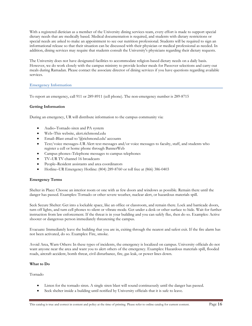With a registered dietician as a member of the University dining services team, every effort is made to support special dietary needs that are medically based. Medical documentation is required, and students with dietary restrictions or special needs are asked to make an appointment to see our nutrition professional. Students will be required to sign an informational release so that their situation can be discussed with their physician or medical professional as needed. In addition, dining services may require that students consult the University's physicians regarding their dietary requests.

The University does not have designated facilities to accommodate religion-based dietary needs on a daily basis. However, we do work closely with the campus ministry to provide kosher meals for Passover selections and carry-out meals during Ramadan. Please contact the associate director of dining services if you have questions regarding available services.

#### **Emergency Information**

To report an emergency, call 911 or 289-8911 (cell phone). The non-emergency number is 289-8715

#### **Getting Information**

During an emergency, UR will distribute information to the campus community via:

- Audio–Tornado siren and PA system
- Web–This website, alert.richmond.edu
- Email–Blast email to '@richmond.edu' accounts
- Text/voice messages–UR Alert text messages and/or voice messages to faculty, staff, and students who register a cell or home phone through BannerWeb
- Campus phones–Telephone messages to campus telephones
- TV–UR TV channel 16 broadcasts
- People–Resident assistants and area coordinators
- Hotline–UR Emergency Hotline: (804) 289-8760 or toll free at (866) 386-0403

#### **Emergency Terms**

Shelter in Place: Choose an interior room or one with as few doors and windows as possible. Remain there until the danger has passed. Examples: Tornado or other severe weather, nuclear alert, or hazardous materials spill.

Seek Secure Shelter: Get into a lockable space, like an office or classroom, and remain there. Lock and barricade doors, turn off lights, and turn cell phones to silent or vibrate mode. Get under a desk or other surface to hide. Wait for further instruction from law enforcement. If the threat is in your building and you can safely flee, then do so. Examples: Active shooter or dangerous person immediately threatening the campus.

Evacuate: Immediately leave the building that you are in, exiting through the nearest and safest exit. If the fire alarm has not been activated, do so. Examples: Fire, smoke.

Avoid Area, Warn Others: In these types of incidents, the emergency is localized on campus. University officials do not want anyone near the area and want you to alert others of the emergency. Examples: Hazardous materials spill, flooded roads, aircraft accident, bomb threat, civil disturbance, fire, gas leak, or power lines down.

#### **What to Do**

Tornado

- Listen for the tornado siren. A single siren blast will sound continuously until the danger has passed.
- Seek shelter inside a building until notified by University officials that it is safe to leave.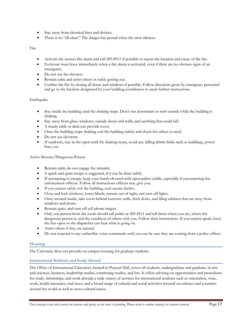- Stay away from electrical lines and devices.
- There is no "all-clear." The danger has passed when the siren silences.

Fire

- Activate the nearest fire alarm and call 289-8911 if possible to report the location and cause of the fire.
- Everyone must leave immediately when a fire alarm is activated, even if there are no obvious signs of an emergency.
- Do not use the elevator.
- Remain calm and assist others in safely getting out.
- Confine the fire by closing all doors and windows if possible. Follow directions given by emergency personnel and go to the location designated by your building coordinator to await further instructions.

#### Earthquake

- Stay inside the building until the shaking stops. Don't run downstairs or rush outside while the building is shaking.
- Stay away from glass, windows, outside doors and walls, and anything that could fall.
- A sturdy table or desk can provide cover.
- Once the building stops shaking, exit the building calmly and check for others in need.
- Do not use elevators.
- If outdoors, stay in the open until the shaking stops, avoid any falling debris fields such as buildings, power lines, etc.

#### Active Shooter/Dangerous Person

- Remain calm, do not engage the intruder.
- A quick and quiet escape is suggested, if it can be done safely.
- If attempting to escape, keep your hands elevated with open palms visible, especially if encountering law enforcement officers. Follow all instructions officers may give you.
- If you cannot safely exit the building, seek secure shelter.
- Close and lock windows, lower blinds, remain out of sight, and turn off lights.
- Once secured inside, take cover behind concrete walls, thick desks, and filing cabinets that are away from windows and doors.
- Remain quiet, and turn off cell phone ringers.
- Only one person from the room should call police at 289-8911 and tell them where you are, where the dangerous person is, and the condition of others with you. Follow their instructions. If you cannot speak, leave the line open so the dispatcher can hear what is going on.
- Assist others if they are injured.
- Do not respond to any unfamiliar voice commands until you can be sure they are coming from a police officer.

#### **Housing**

The University does not provide on-campus housing for graduate students.

#### **International Students and Study Abroad**

The Office of International Education, located in Puryear Hall, serves all students, undergraduate and graduate, in arts and sciences, business, leadership studies, continuing studies, and law. It offers advising on opportunities and procedures for study, internships, and work abroad; a wide variety of services for international students such as orientation, visas, work, health insurance, and taxes; and a broad range of cultural and social activities focused on cultures and countries around the world as well as cross-cultural issues.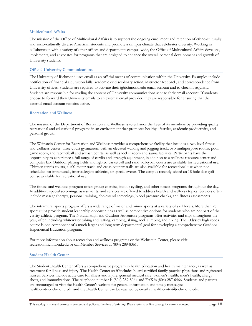#### **Multicultural Affairs**

The mission of the Office of Multicultural Affairs is to support the ongoing enrollment and retention of ethno-culturally and socio-culturally diverse American students and promote a campus climate that celebrates diversity. Working in collaboration with a variety of other offices and departments campus-wide, the Office of Multicultural Affairs develops, implements, and advocates for programs that are designed to enhance the overall personal development and growth of University students.

#### **Official University Communications**

The University of Richmond uses email as an official means of communication within the University. Examples include notification of financial aid, tuition bills, academic or disciplinary action, instructor feedback, and correspondence from University offices. Students are required to activate their @richmond.edu email account and to check it regularly. Students are responsible for reading the content of University communications sent to their email account. If students choose to forward their University emails to an external email provider, they are responsible for ensuring that the external email account remains active.

#### **Recreation and Wellness**

The mission of the Department of Recreation and Wellness is to enhance the lives of its members by providing quality recreational and educational programs in an environment that promotes healthy lifestyles, academic productivity, and personal growth.

The Weinstein Center for Recreation and Wellness provides a comprehensive facility that includes a two-level fitness and wellness center, three-court gymnasium with an elevated walking and jogging track, two multipurpose rooms, pool, game room, and racquetball and squash courts, as well as locker room and sauna facilities. Participants have the opportunity to experience a full range of cardio and strength equipment, in addition to a wellness resource center and computer lab. Outdoor playing fields and lighted basketball and sand volleyball courts are available for recreational use. Thirteen tennis courts, a 400-meter track, and cross country trails are also available for recreational use when not scheduled for intramurals, intercollegiate athletics, or special events. The campus recently added an 18 hole disc golf course available for recreational use.

The fitness and wellness program offers group exercise, indoor cycling, and other fitness programs throughout the day. In addition, special screenings, assessments, and services are offered to address health and wellness topics. Services often include massage therapy, personal training, cholesterol screenings, blood pressure checks, and fitness assessments.

The intramural sports program offers a wide range of major and minor sports at a variety of skill levels. More than 25 sport clubs provide student leadership opportunities as well as competitive options for students who are not part of the varsity athletic program. The Natural High and Outdoor Adventure programs offer activities and trips throughout the year, often including whitewater tubing and rafting, camping, skiing, rock climbing and hiking. The Odyssey high ropes course is one component of a much larger and long term departmental goal for developing a comprehensive Outdoor Experiential Education program.

For more information about recreation and wellness programs or the Weinstein Center, please visit recreation.richmond.edu or call Member Services at (804) 289-8361.

#### **Student Health Center**

The Student Health Center offers a comprehensive program in health education and health maintenance, as well as treatment for illness and injury. The Health Center staff includes board-certified family practice physicians and registered nurses. Services include acute care for illness and injury, general medical care, women's health, men's health, allergy shots, and immunizations. The telephone number is (804) 289-8064 and FAX is (804) 287-6466. Students and parents are encouraged to visit the Health Center's website for general information and timely messages: healthcenter.richmond.edu and the Health Center can be reached by email at healthcenter@richmond.edu.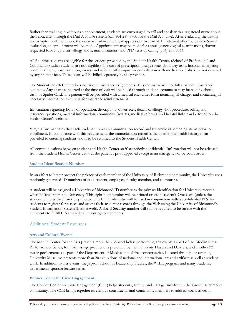Rather than walking in without an appointment, students are encouraged to call and speak with a registered nurse about their concerns through the Dial-A-Nurse system (call 804-289-8700 for the Dial-A-Nurse). After evaluating the history and symptoms of the illness, the nurse will advise the most appropriate treatment. If indicated after the Dial-A-Nurse evaluation, an appointment will be made. Appointments may be made for annual gynecological examinations, doctorrequested follow-up visits, allergy shots, immunizations, and PPD tests by calling (804) 289-8064.

All full time students are eligible for the services provided by the Student Health Center. (School of Professional and Continuing Studies students are not eligible.) The cost of prescription drugs, some laboratory tests, hospital emergency room treatment, hospitalization, x-rays, and referral off campus for consultation with medical specialists are not covered by any student fees. These costs will be billed separately by the provider.

The Student Health Center does not accept insurance assignments. This means we will not bill a patient's insurance company. Any charges incurred at the time of visit will be billed through student accounts or may be paid by check, cash, or Spider Card. The patient will be provided with a medical encounter form itemizing all charges and containing all necessary information to submit for insurance reimbursement.

Information regarding hours of operation, descriptions of services, details of allergy shot procedure, billing and insurance questions, medical information, community facilities, medical referrals, and helpful links can be found on the Health Center's website.

Virginia law mandates that each student submit an immunization record and tuberculosis screening status prior to enrollment. In compliance with this requirement, the immunization record is included in the health history form provided to entering students and is to be returned to the Student Health Center.

All communications between student and Health Center staff are strictly confidential. Information will not be released from the Student Health Center without the patient's prior approval except in an emergency or by court order.

#### **Student Identification Number**

In an effort to better protect the privacy of each member of the University of Richmond community, the University uses randomly generated ID numbers of each student, employee, faculty member, and alumnus/a.

A student will be assigned a University of Richmond ID number as the primary identification for University records when he/she enters the University. This eight-digit number will be printed on each student's One-Card (unless the student requests that it not be printed). This ID number also will be used in conjunction with a confidential PIN for students to register for classes and access their academic records through the Web using the University of Richmond's Student Information System (BannerWeb). A Social Security number will still be required to be on file with the University to fulfill IRS and federal reporting requirements.

#### Additional Student Resources

#### **Arts and Cultural Events**

The Modlin Center for the Arts presents more than 35 world-class performing arts events as part of the Modlin Great Performances Series, four main-stage productions presented by the University Players and Dancers, and another 22 music performances as part of the Department of Music's annual free concert series. Located throughout campus, University Museums presents more than 20 exhibitions of national and international art and artifacts as well as student work. In addition to arts events, the Jepson School of Leadership Studies, the WILL program, and many academic departments sponsor lecture series.

#### **Bonner Center for Civic Engagement**

The Bonner Center for Civic Engagement (CCE) helps students, faculty, and staff get involved in the Greater Richmond community. The CCE brings together its campus constituents and community members to address social issues in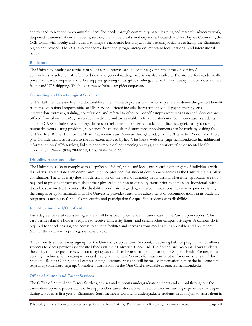context and to respond to community-identified needs through community-based learning and research, advocacy work, deepened awareness of current events, service, alternative breaks, and city tours. Located in Tyler Haynes Commons, the CCE works with faculty and students to integrate academic learning with the pressing social issues facing the Richmond region and beyond. The CCE also sponsors educational programming on important local, national, and international issues.

#### **Bookstore**

The University Bookstore carries textbooks for all courses scheduled for a given term at the University. A comprehensive selection of reference books and general reading materials is also available. The store offers academically priced software, computer and office supplies, greeting cards, gifts, clothing, and health and beauty aids. Services include faxing and UPS shipping. The bookstore's website is urspidershop.com.

#### **Counseling and Psychological Services**

CAPS staff members are licensed doctoral-level mental health professionals who help students derive the greatest benefit from the educational opportunities at UR. Services offered include short-term individual psychotherapy, crisis intervention, outreach, training, consultation, and referral to other on- or off-campus resources as needed. Services are offered from about mid-August to about mid-June and are available to full-time students. Common reasons students come to CAPS include stress, anxiety, depression, relationship concerns, academic difficulties, grief, family concerns, traumatic events, eating problems, substance abuse, and sleep disturbance. Appointments can be made by visiting the CAPS office (Brunet Hall for the 2016-17 academic year) Monday through Friday from 8:30 a.m. to 12 noon and 1 to 5 p.m. Confidentiality is assured to the full extent allowed by law. The CAPS Web site (caps.richmond.edu) has additional information on CAPS services, links to anonymous online screening surveys, and a variety of other mental health information. Phone: (804) 289-8119; FAX: (804) 287-1227.

#### **Disability Accommodations**

The University seeks to comply with all applicable federal, state, and local laws regarding the rights of individuals with disabilities. To facilitate such compliance, the vice president for student development serves as the University's disability coordinator. The University does not discriminate on the basis of disability in admission. Therefore, applicants are not required to provide information about their physical condition or disability status prior to admission. Individuals with disabilities are invited to contact the disability coordinator regarding any accommodations they may require in visiting the campus or upon matriculation. The University provides reasonable adjustments or accommodations in its academic programs as necessary for equal opportunity and participation for qualified students with disabilities.

#### **Identification Card/One-Card**

Each degree- or certificate-seeking student will be issued a picture identification card (One-Card) upon request. This card verifies that the holder is eligible to receive University library and certain other campus privileges. A campus ID is required for check cashing and access to athletic facilities and serves as your meal card if applicable and library card. Neither the card nor its privileges is transferable.

All University students may sign up for the University's SpiderCard Account, a declining balance program which allows students to access previously deposited funds via their University One-Card. The SpiderCard Account allows students the ability to make purchases without carrying cash and can be used at the bookstore, the Student Health Center, most vending machines, for on-campus pizza delivery, in One Card Services for passport photos, for concessions in Robins Stadium/ Robins Center, and all campus dining locations. Students will be mailed information before the fall semester regarding SpiderCard sign up. Complete information on the One-Card is available at onecard.richmond.edu.

#### **Office of Alumni and Career Services**

The Office of Alumni and Career Services, advises and supports undergraduate students and alumni throughout the career development process. The office approaches career development as a continuous learning experience that begins during a student's first year at Richmond. Staff members work with undergraduate students in all majors to assist them in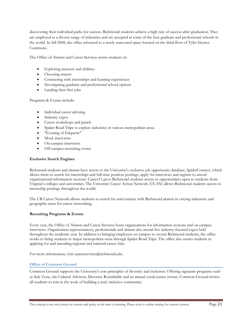discovering their individual paths for success. Richmond students achieve a high rate of success after graduation. They are employed in a diverse range of industries and are accepted at some of the best graduate and professional schools in the world. In fall 2008, the office relocated to a newly renovated space located on the third floor of Tyler Haynes Commons.

The Office of Alumni and Career Services assists students in:

- Exploring interests and abilities
- Choosing majors
- Connecting with internships and learning experiences
- Investigating graduate and professional school options
- Landing their first jobs

Programs & Events include:

- Individual career advising
- Industry expos
- Career workshops and panels
- Spider Road Trips to explore industries in various metropolitan areas
- "Evening of Etiquette"
- Mock interviews
- On-campus interviews
- Off-campus recruiting events

#### **Exclusive Search Engines**

Richmond students and alumni have access to the University's exclusive job opportunity database, SpiderConnect, which allows them to search for internships and full-time position postings, apply for interviews and register to attend organizational information sessions. Career15 gives Richmond students access to opportunities open to students from Virginia's colleges and universities. The University Career Action Network (UCAN) allows Richmond students access to internship postings throughout the world.

The UR Career Network allows students to search for and connect with Richmond alumni in varying industries and geographic areas for career networking.

#### **Recruiting Programs & Events**

Every year, the Office of Alumni and Career Services hosts organizations for information sessions and on-campus interviews. Organization representatives, professionals and alumni also attend five industry-focused expos held throughout the academic year. In addition to bringing employers on campus to recruit Richmond students, the office works to bring students to major metropolitan areas through Spider Road Trips. The office also assists students in applying for and attending regional and national career fairs.

For more information, visit careerservices@richmond.edu.

#### **Office of Common Ground**

Common Ground supports the University's core principles of diversity and inclusion. Offering signature programs such as Safe Zone, the Cultural Advisors, Diversity Roundtable and an annual social justice retreat, Common Ground invites all students to join in the work of building a truly inclusive community.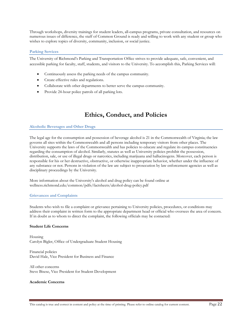Through workshops, diversity trainings for student leaders, all-campus programs, private consultation, and resources on numerous issues of difference, the staff of Common Ground is ready and willing to work with any student or group who wishes to explore topics of diversity, community, inclusion, or social justice.

#### **Parking Services**

The University of Richmond's Parking and Transportation Office strives to provide adequate, safe, convenient, and accessible parking for faculty, staff, students, and visitors to the University. To accomplish this, Parking Services will:

- Continuously assess the parking needs of the campus community.
- Create effective rules and regulations.
- Collaborate with other departments to better serve the campus community.
- Provide 24-hour police patrols of all parking lots.

## **Ethics, Conduct, and Policies**

#### **Alcoholic Beverages and Other Drugs**

The legal age for the consumption and possession of beverage alcohol is 21 in the Commonwealth of Virginia; the law governs all sites within the Commonwealth and all persons including temporary visitors from other places. The University supports the laws of the Commonwealth and has policies to educate and regulate its campus constituencies regarding the consumption of alcohol. Similarly, statutes as well as University policies prohibit the possession, distribution, sale, or use of illegal drugs or narcotics, including marijuana and hallucinogens. Moreover, each person is responsible for his or her destructive, obstructive, or otherwise inappropriate behavior, whether under the influence of any substance or not. Persons in violation of the law are subject to prosecution by law enforcement agencies as well as disciplinary proceedings by the University.

More information about the University's alcohol and drug policy can be found online at wellness.richmond.edu/common/pdfs/factsheets/alcohol-drug-policy.pdf

#### **Grievances and Complaints**

Students who wish to file a complaint or grievance pertaining to University policies, procedures, or conditions may address their complaint in written form to the appropriate department head or official who oversees the area of concern. If in doubt as to whom to direct the complaint, the following officials may be contacted:

#### **Student Life Concerns**

Housing Carolyn Bigler, Office of Undergraduate Student Housing

Financial policies David Hale, Vice President for Business and Finance

All other concerns Steve Bisese, Vice President for Student Development

#### **Academic Concerns**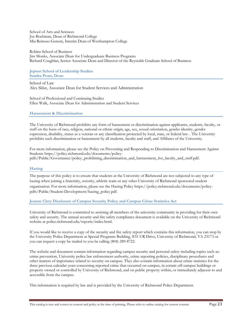School of Arts and Sciences Joe Boehman, Dean of Richmond College Mia Reinoso Genoni, Interim Dean of Westhampton College

#### Robins School of Business Jim Monks, Associate Dean for Undergraduate Business Programs Richard Coughlan, Senior Associate Dean and Director of the Reynolds Graduate School of Business

**Jepson School of Leadership Studies Sandra Peart, Dean** 

School of Law Alex Sklut, Associate Dean for Student Services and Administration

School of Professional and Continuing Studies Ellen Walk, Associate Dean for Administration and Student Services

#### **Harassment & Discrimination**

The University of Richmond prohibits any form of harassment or discrimination against applicants, students, faculty, or staff on the basis of race, religion, national or ethnic origin, age, sex, sexual orientation, gender identity, gender expression, disability, status as a veteran or any classification protected by local, state, or federal law. . The University prohibits such discrimination or harassment by all students, faculty and staff, and Affiliates of the University.

For more information, please see the Policy on Preventing and Responding to Discrimination and Harassment Against Students https://policy.richmond.edu/documents/policypdfs/Public/Governance/policy\_prohibiting\_discrimination\_and\_harrassment\_for\_faculty\_and\_staff.pdf.

#### **Hazing**

The purpose of this policy is to ensure that students at the University of Richmond are not subjected to any type of hazing when joining a fraternity, sorority, athletic team or any other University of Richmond sponsored student organization. For more information, please see the Hazing Policy https://policy.richmond.edu/documents/policypdfs/Public/Student-Development/hazing\_policy.pdf.

#### **Jeanne Clery Disclosure of Campus Security Policy and Campus Crime Statistics Act**

University of Richmond is committed to assisting all members of the university community in providing for their own safety and security. The annual security and fire safety compliance document is available on the University of Richmond website at police.richmond.edu/reports/index.html.

If you would like to receive a copy of the security and fire safety report which contains this information, you can stop by the University Police Department at Special Programs Building, #31 UR Drive, University of Richmond, VA 23173 or you can request a copy be mailed to you be calling (804) 289-8722.

The website and document contain information regarding campus security and personal safety including topics such as: crime prevention, University police law enforcement authority, crime reporting policies, disciplinary procedures and other matters of importance related to security on campus. They also contain information about crime statistics for the three previous calendar years concerning reported crime that occurred on campus, in certain off-campus buildings or property owned or controlled by University of Richmond, and on public property within, or immediately adjacent to and accessible from the campus.

This information is required by law and is provided by the University of Richmond Police Department.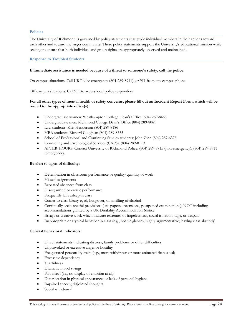#### **Policies**

The University of Richmond is governed by policy statements that guide individual members in their actions toward each other and toward the larger community. These policy statements support the University's educational mission while seeking to ensure that both individual and group rights are appropriately observed and maintained.

**Response to Troubled Students** 

#### **If immediate assistance is needed because of a threat to someone's safety, call the police:**

On-campus situations: Call UR Police emergency (804-289-8911); or 911 from any campus phone

Off-campus situations: Call 911 to access local police responders

#### **For all other types of mental health or safety concerns, please fill out an Incident Report Form, which will be routed to the appropriate office(s):**

- Undergraduate women: Westhampton College Dean's Office (804) 289-8468
- Undergraduate men: Richmond College Dean's Office (804) 289-8061
- Law students: Kris Henderson (804) 289-8186
- MBA students: Richard Coughlan (804) 289-8553
- School of Professional and Continuing Studies students: John Zinn (804) 287-6378
- Counseling and Psychological Services (CAPS): (804) 289-8119.
- AFTER-HOURS: Contact University of Richmond Police: (804) 289-8715 (non-emergency), (804) 289-8911 (emergency).

#### **Be alert to signs of difficulty:**

- Deterioration in classroom performance or quality/quantity of work
- Missed assignments
- Repeated absences from class
- Disorganized or erratic performance
- Frequently falls asleep in class
- Comes to class bleary-eyed, hungover, or smelling of alcohol
- Continually seeks special provisions (late papers, extensions, postponed examinations); NOT including accommodations granted by a UR Disability Accommodation Notice
- Essays or creative work which indicate extremes of hopelessness, social isolation, rage, or despair
- Inappropriate or atypical behavior in class (e.g., hostile glances; highly argumentative; leaving class abruptly)

#### **General behavioral indicators:**

- Direct statements indicating distress, family problems or other difficulties
- Unprovoked or excessive anger or hostility
- Exaggerated personality traits (e.g., more withdrawn or more animated than usual)
- **Excessive dependency**
- Tearfulness
- Dramatic mood swings
- Flat affect (i.e., no display of emotion at all)
- Deterioration in physical appearance, or lack of personal hygiene
- Impaired speech; disjointed thoughts
- Social withdrawal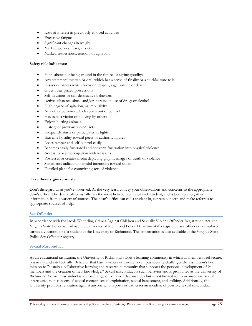- Loss of interest in previously enjoyed activities
- **•** Excessive fatigue
- Significant changes in weight
- Marked worries, fears, anxiety
- Marked restlessness, tension, or agitation

#### **Safety risk indicators:**

- Hints about not being around in the future, or saying goodbye
- Any statement, written or oral, which has a sense of finality or a suicidal tone to it
- Essays or papers which focus on despair, rage, suicide or death
- Gives away prized possessions
- Self-injurious or self-destructive behaviors
- Active substance abuse and/or increase in use of drugs or alcohol
- High degree of agitation, or impulsivity
- Any other behavior which seems out of control
- Has been a victim of bullying by others
- Enjoys hurting animals
- History of previous violent acts
- Frequently starts or participates in fights
- Extreme hostility toward peers or authority figures
- Loses temper and self-control easily
- Becomes easily frustrated and converts frustration into physical violence
- Access to or preoccupation with weapons
- Possesses or creates media depicting graphic images of death or violence
- Statements indicating harmful intentions toward others
- Detailed plans for committing acts of violence

#### **Take these signs seriously**

Don't disregard what you've observed. At the very least, convey your observations and concerns to the appropriate dean's office. The dean's office usually has the most holistic picture of each student, and is best able to gather information from a variety of sources. The dean's office can call a student in, express concern and make referrals to appropriate sources of help.

#### **Sex Offender**

In accordance with the Jacob Wetterling Crimes Against Children and Sexually Violent Offender Registration Act, the Virginia State Police will advise the University of Richmond Police Department if a registered sex offender is employed, carries a vocation, or is a student at the University of Richmond. This information is also available at the Virginia State Police Sex Offender registry.

#### **Sexual Misconduct**

As an educational institution, the University of Richmond values a learning community in which all members feel secure, physically and intellectually. Behavior that harms others or threatens campus security challenges the institution's key mission to "sustain a collaborative learning and research community that supports the personal development of its members and the creation of new knowledge." Sexual misconduct is such behavior and is prohibited at the University of Richmond. Sexual misconduct is a broad range of behavior that includes but is not limited to non-consensual sexual intercourse, non-consensual sexual contact, sexual exploitation, sexual harassment, and stalking. Additionally, the University prohibits retaliation against anyone who reports or witnesses an incident of possible sexual misconduct.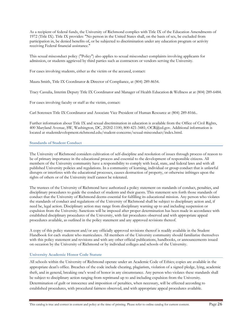As a recipient of federal funds, the University of Richmond complies with Title IX of the Education Amendments of 1972 (Title IX). Title IX provides: "No person in the United States shall, on the basis of sex, be excluded from participation in, be denied benefits of, or be subjected to discrimination under any education program or activity receiving Federal financial assistance."

This sexual misconduct policy ("Policy") also applies to sexual misconduct complaints involving applicants for admission, or students aggrieved by third parties such as contractors or vendors serving the University.

For cases involving students, either as the victim or the accused, contact:

Maura Smith, Title IX Coordinator & Director of Compliance, at (804) 289-8654.

Tracy Cassalia, Interim Deputy Title IX Coordinator and Manager of Health Education & Wellness at at (804) 289-6484.

For cases involving faculty or staff as the victim, contact:

Carl Sorensen Title IX Coordinator and Associate Vice President of Human Resource at (804) 289-8166..

Further information about Title IX and sexual discrimination in education is available from the Office of Civil Rights, 400 Maryland Avenue, SW, Washington, DC, 20202-1100; 800-421-3481; OCR@ed.gov. Additional information is located at studentdevelopment.richmond.edu/student-concerns/sexual-misconduct/index.html.

#### **Standards of Student Conduct**

The University of Richmond considers cultivation of self-discipline and resolution of issues through process of reason to be of primary importance in the educational process and essential to the development of responsible citizens. All members of the University community have a responsibility to comply with local, state, and federal laws and with all published University policies and regulations. In a community of learning, individual or group conduct that is unlawful disrupts or interferes with the educational processes, causes destruction of property, or otherwise infringes upon the rights of others or of the University itself cannot be tolerated.

The trustees of the University of Richmond have authorized a policy statement on standards of conduct, penalties, and disciplinary procedures to guide the conduct of students and their guests. This statement sets forth those standards of conduct that the University of Richmond deems essential for fulfilling its educational mission. Any person who violates the standards of conduct and regulations of the University of Richmond shall be subject to disciplinary action and, if need be, legal action. Disciplinary action may range from disciplinary warning up to and including suspension or expulsion from the University. Sanctions will be imposed after proper determination has been made in accordance with established disciplinary procedures of the University, with fair procedures observed and with appropriate appeal procedures available, as outlined in the policy statement and any approved revisions thereof.

A copy of this policy statement and/or any officially approved revisions thereof is readily available in the Student Handbook for each student who matriculates. All members of the University community should familiarize themselves with this policy statement and revisions and with any other official publications, handbooks, or announcements issued on occasion by the University of Richmond or by individual colleges and schools of the University.

#### **University Academic Honor Code Statute**

All schools within the University of Richmond operate under an Academic Code of Ethics; copies are available in the appropriate dean's office. Breaches of the code include cheating, plagiarism, violation of a signed pledge, lying, academic theft, and in general, breaking one's word of honor in any circumstance. Any person who violates these standards shall be subject to disciplinary action ranging from reprimand up to and including expulsion from the University. Determination of guilt or innocence and imposition of penalties, when necessary, will be effected according to established procedures, with procedural fairness observed, and with appropriate appeal procedures available.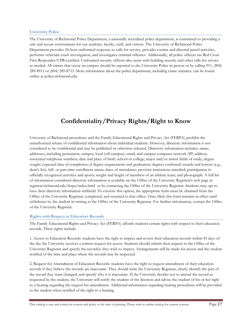#### **University Police**

The University of Richmond Police Department, a nationally accredited police department, is committed to providing a safe and secure environment for our students, faculty, staff, and visitors. The University of Richmond Police Department provides 24-hour uniformed response to calls for service, provides routine and directed patrol activities, performs vehicular crash investigation, and investigates criminal offenses. Additionally, all police officers are Red Cross First Responder/CPR-certified. Uniformed security officers also assist with building security and other calls for service as needed. All crimes that occur on campus should be reported to the University Police in person or by calling 911, (804) 289-8911 or (804) 289-8715. More information about the police department, including crime statistics, can be found online at police.richmond.edu.

# **Confidentiality/Privacy Rights/Right to Know**

University of Richmond procedures and the Family Educational Rights and Privacy Act (FERPA) prohibit the unauthorized release of confidential information about individual students. However, directory information is not considered to be confidential and may be published or otherwise released. Directory information includes: name; addresses, including permanent, campus, local (off-campus), email, and campus computer network (IP) address; associated telephone numbers; date and place of birth; school or college; major and/or minor fields of study; degree sought; expected date of completion of degree requirements and graduation; degrees conferred; awards and honors (e.g., dean's list); full- or part-time enrollment status; dates of attendance; previous institutions attended; participation in officially recognized activities and sports; weight and height of members of an athletic team; and photograph. A full list of information considered directory information is available on the Office of the University Registrar's web page at registrar.richmond.edu/ferpa/index.html or by contacting the Office of the University Registrar. Students may opt to have their directory information withheld. To exercise this option, the appropriate form must be obtained from the Office of the University Registrar, completed, and returned to that office. Once filed, this form remains in effect until withdrawn by the student in writing to the Office of the University Registrar. For further information, contact the Office of the University Registrar.

#### **Rights with Respect to Education Records**

The Family Educational Rights and Privacy Act (FERPA) affords students certain rights with respect to their education records. These rights include:

1. Access to Education Records: students have the right to inspect and review their education records within 45 days of the day the University receives a written request for access. Students should submit their request to the Office of the University Registrar and specify the record(s) they wish to inspect. Arrangements will be made for access and the student notified of the time and place where the records may be inspected.

2. Request for Amendment of Education Records: students have the right to request amendment of their education records if they believe the records are inaccurate. They should write the University Registrar, clearly identify the part of the record they want changed, and specify why it is inaccurate. If the University decides not to amend the record as requested by the student, the University will notify the student of the decision and advise the student of his or her right to a hearing regarding the request for amendment. Additional information regarding hearing procedures will be provided to the student when notified of the right to a hearing.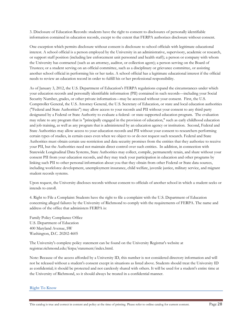3. Disclosure of Education Records: students have the right to consent to disclosures of personally identifiable information contained in education records, except to the extent that FERPA authorizes disclosure without consent.

One exception which permits disclosure without consent is disclosure to school officials with legitimate educational interest. A school official is a person employed by the University in an administrative, supervisory, academic or research, or support staff position (including law enforcement unit personnel and health staff); a person or company with whom the University has contracted (such as an attorney, auditor, or collection agent); a person serving on the Board of Trustees; or a student serving on an official committee, such as a disciplinary or grievance committee, or assisting another school official in performing his or her tasks. A school official has a legitimate educational interest if the official needs to review an education record in order to fulfill his or her professional responsibility.

As of January 3, 2012, the U.S. Department of Education's FERPA regulations expand the circumstances under which your education records and personally identifiable information (PII) contained in such records—including your Social Security Number, grades, or other private information—may be accessed without your consent. First, the U.S. Comptroller General, the U.S. Attorney General, the U.S. Secretary of Education, or state and local education authorities ("Federal and State Authorities") may allow access to your records and PII without your consent to any third party designated by a Federal or State Authority to evaluate a federal- or state-supported education program. The evaluation may relate to any program that is "principally engaged in the provision of education," such as early childhood education and job training, as well as any program that is administered by an education agency or institution. Second, Federal and State Authorities may allow access to your education records and PII without your consent to researchers performing certain types of studies, in certain cases even when we object to or do not request such research. Federal and State Authorities must obtain certain use-restriction and data security promises from the entities that they authorize to receive your PII, but the Authorities need not maintain direct control over such entities. In addition, in connection with Statewide Longitudinal Data Systems, State Authorities may collect, compile, permanently retain, and share without your consent PII from your education records, and they may track your participation in education and other programs by linking such PII to other personal information about you that they obtain from other Federal or State data sources, including workforce development, unemployment insurance, child welfare, juvenile justice, military service, and migrant student records systems.

Upon request, the University discloses records without consent to officials of another school in which a student seeks or intends to enroll.

4. Right to File a Complaint: Students have the right to file a complaint with the U.S. Department of Education concerning alleged failures by the University of Richmond to comply with the requirements of FERPA. The name and address of the office that administers FERPA is:

Family Policy Compliance Office U.S. Department of Education 400 Maryland Avenue, SW Washington, D.C. 20202-4605

The University's complete policy statement can be found on the University Registrar's website at registrar.richmond.edu/ferpa/statement/index.html.

Note: Because of the access afforded by a University ID, this number is not considered directory information and will not be released without a student's consent except in situations as listed above. Students should treat the University ID as confidential; it should be protected and not carelessly shared with others. It will be used for a student's entire time at the University of Richmond, so it should always be treated in a confidential manner.

**Right To Know**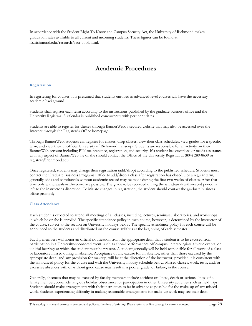In accordance with the Student Right To Know and Campus Security Act, the University of Richmond makes graduation rates available to all current and incoming students. These figures can be found at ifx.richmond.edu/research/fact-book.html.

## **Academic Procedures**

#### **Registration**

In registering for courses, it is presumed that students enrolled in advanced-level courses will have the necessary academic background.

Students shall register each term according to the instructions published by the graduate business office and the University Registrar. A calendar is published concurrently with pertinent dates.

Students are able to register for classes through BannerWeb, a secured website that may also be accessed over the Internet through the Registrar's Office homepage.

Through BannerWeb, students can register for classes, drop classes, view their class schedules, view grades for a specific term, and view their unofficial University of Richmond transcript. Students are responsible for all activity on their BannerWeb account including PIN maintenance, registration, and security. If a student has questions or needs assistance with any aspect of BannerWeb, he or she should contact the Office of the University Registrar at (804) 289-8639 or registrar@richmond.edu.

Once registered, students may change their registration (add/drop) according to the published schedule. Students must contact the Graduate Business Programs Office to add/drop a class after registration has closed. For a regular term, generally adds and withdrawals without academic record may be made during the first two weeks of classes. After that time only withdrawals-with-record are possible. The grade to be recorded during the withdrawal-with-record period is left to the instructor's discretion. To initiate changes in registration, the student should contact the graduate business office promptly.

#### **Class Attendance**

Each student is expected to attend all meetings of all classes, including lectures, seminars, laboratories, and workshops, in which he or she is enrolled. The specific attendance policy in each course, however, is determined by the instructor of the course, subject to the section on University holidays below. The specific attendance policy for each course will be announced to the students and distributed on the course syllabus at the beginning of each semester.

Faculty members will honor an official notification from the appropriate dean that a student is to be excused from participation in a University-sponsored event, such as choral performances off campus, intercollegiate athletic events, or judicial hearings at which the student must be present. A student generally will be held responsible for all work of a class or laboratory missed during an absence. Acceptance of any excuse for an absence, other than those excused by the appropriate dean, and any provision for makeup, will be at the discretion of the instructor, provided it is consistent with the announced policy for the course and with the University holiday schedule below. Missed classes, work, tests, and/or excessive absences with or without good cause may result in a poorer grade, or failure, in the course.

Generally, absences that may be excused by faculty members include accident or illness, death or serious illness of a family member, bona fide religious holiday observance, or participation in other University activities such as field trips. Students should make arrangements with their instructors as far in advance as possible for the make-up of any missed work. Students experiencing difficulty in making reasonable arrangements for make-up work may see their dean.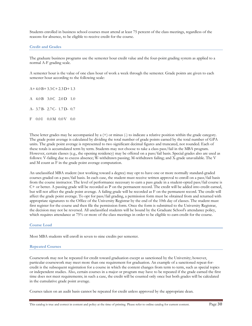Students enrolled in business school courses must attend at least 75 percent of the class meetings, regardless of the reasons for absence, to be eligible to receive credit for the course.

#### **Credit and Grades**

The graduate business programs use the semester hour credit value and the four-point grading system as applied to a normal A-F grading scale.

A semester hour is the value of one class hour of work a week through the semester. Grade points are given to each semester hour according to the following scale:

A+ 4.0 B+ 3.3 C+ 2.3 D+ 1.3 A 4.0 B 3.0 C 2.0 D 1.0 A- 3.7 B- 2.7 C- 1.7 D- 0.7 F 0.01 0.0M 0.0V 0.0

These letter grades may be accompanied by a  $(+)$  or minus  $(.)$  to indicate a relative position within the grade category. The grade point average is calculated by dividing the total number of grade points earned by the total number of GPA units. The grade point average is represented to two significant decimal figures and truncated, not rounded. Each of these totals is accumulated term by term. Students may not choose to take a class pass/fail in the MBA program. However, certain classes (e.g., the opening residency) may be offered on a pass/fail basis. Special grades also are used as follows: V-failing due to excess absence; W-withdrawn passing; M-withdrawn failing; and X-grade unavailable. The V and M count as F in the grade point average computation.

An unclassified MBA student (not working toward a degree) may opt to have one or more normally standard-graded courses graded on a pass/fail basis. In each case, the student must receive written approval to enroll on a pass/fail basis from the course instructor. The level of performance necessary to earn a pass grade in a student-opted pass/fail course is C+ or better. A passing grade will be recorded as P on the permanent record. The credit will be added into credit earned, but will not affect the grade point average. A failing grade will be recorded as F on the permanent record. The credit will affect the grade point average. To opt for pass/fail grading, a permission form must be obtained from and returned with appropriate signatures to the Office of the University Registrar by the end of the 10th day of classes. The student must first register for the course and then file the permission form. Once the form is submitted to the University Registrar, the decision may not be reversed. All unclassified students will be bound by the Graduate School's attendance policy, which requires attendance at 75% or more of the class meetings in order to be eligible to earn credit for the course.

**Course Load** 

Most MBA students will enroll in seven to nine credits per semester.

#### **Repeated Courses**

Coursework may not be repeated for credit toward graduation except as sanctioned by the University; however, particular coursework may meet more than one requirement for graduation. An example of a sanctioned repeat-forcredit is the subsequent registration for a course in which the content changes from term to term, such as special topics or independent studies. Also, certain courses in a major or program may have to be repeated if the grade earned the first time does not meet requirements; in such a case, the credit will be counted only once but both grades will be calculated in the cumulative grade point average.

Courses taken on an audit basis cannot be repeated for credit unless approved by the appropriate dean.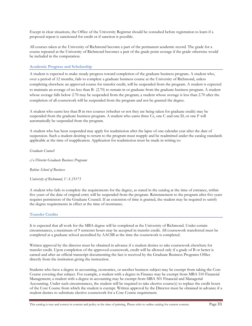Except in clear situations, the Office of the University Registrar should be consulted before registration to learn if a proposed repeat is sanctioned for credit or if sanction is possible.

All courses taken at the University of Richmond become a part of the permanent academic record. The grade for a course repeated at the University of Richmond becomes a part of the grade point average if the grade otherwise would be included in the computation.

#### **Academic Progress and Scholarship**

A student is expected to make steady progress toward completion of the graduate business program. A student who, over a period of 12 months, fails to complete a graduate business course at the University of Richmond, unless completing elsewhere an approved course for transfer credit, will be suspended from the program. A student is expected to maintain an average of no less than B- (2.70) to remain in or graduate from the graduate business program. A student whose average falls below 2.70 may be suspended from the program; a student whose average is less than 2.70 after the completion of all coursework will be suspended from the program and not be granted the degree.

A student who earns less than B in two courses (whether or not they are being taken for graduate credit) may be suspended from the graduate business program. A student who earns three Cs, one C and one D, or one F will automatically be suspended from the program.

A student who has been suspended may apply for readmission after the lapse of one calendar year after the date of suspension. Such a student desiring to return to the program must reapply and be readmitted under the catalog standards applicable at the time of reapplication. Application for readmission must be made in writing to:

*Graduate Council*

*c/o Director Graduate Business Programs*

*Robins School of Business*

*University of Richmond, VA 23173*

A student who fails to complete the requirements for the degree, as stated in the catalog at the time of entrance, within five years of the date of original entry will be suspended from the program. Reinstatement to the program after five years requires permission of the Graduate Council. If an extension of time is granted, the student may be required to satisfy the degree requirements in effect at the time of reentrance.

#### **Transfer Credits**

It is expected that all work for the MBA degree will be completed at the University of Richmond. Under certain circumstances, a maximum of 9 semester hours may be accepted in transfer credit. All coursework transferred must be completed at a graduate school accredited by AACSB at the time the coursework is completed.

Written approval by the director must be obtained in advance if a student desires to take coursework elsewhere for transfer credit. Upon completion of the approved coursework, credit will be allowed only if a grade of B or better is earned and after an official transcript documenting the fact is received by the Graduate Business Programs Office directly from the institution giving the instruction.

Students who have a degree in accounting, economics, or another business subject may be exempt from taking the Core Course covering that subject. For example, a student with a degree in Finance may be exempt from MBA 510 Financial Management; a student with a degree in accounting may be exempt from MBA 501 Financial and Managerial Accounting. Under such circumstances, the student will be required to take elective course(s) to replace the credit hours of the Core Course from which the student is exempt. Written approval by the Director must be obtained in advance if a student desires to substitute elective coursework for a Core Course requirement.

This catalog is true and correct in content and policy at the time of printing. Please refer to online catalog for current content. Page 31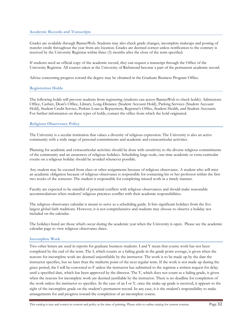#### **Academic Records and Transcripts**

Grades are available through BannerWeb. Students may also check grade changes, incomplete makeups and posting of transfer credit throughout the year from any location. Grades are deemed correct unless notification to the contrary is received by the University Registrar within three (3) months after the close of the term specified.

If students need an official copy of the academic record, they can request a transcript through the Office of the University Registrar. All courses taken at the University of Richmond become a part of the permanent academic record.

Advice concerning progress toward the degree may be obtained in the Graduate Business Program Office.

#### **Registration Holds**

The following holds will prevent students from registering (students can access BannerWeb to check holds): Admissions Office, Cashier, Dean's Office, Library, Long-Distance (Student Account Hold), Parking Services (Student Account Hold), Student Credit Service, Perkins Loan in Repayment, Registrar's Office, Student Health, and Student Accounts. For further information on these types of holds, contact the office from which the hold originated.

#### **Religious Observance Policy**

The University is a secular institution that values a diversity of religious expression. The University is also an active community with a wide range of personal commitments and academic and extracurricular activities.

Planning for academic and extracurricular activities should be done with sensitivity to the diverse religious commitments of the community and an awareness of religious holidays. Scheduling large-scale, one-time academic or extra-curricular events on a religious holiday should be avoided whenever possible.

Any student may be excused from class or other assignments because of religious observance. A student who will miss an academic obligation because of religious observance is responsible for contacting his or her professor within the first two weeks of the semester. The student is responsible for completing missed work in a timely manner.

Faculty are expected to be mindful of potential conflicts with religious observances and should make reasonable accommodations when students' religious practices conflict with their academic responsibilities.

The religious observance calendar is meant to serve as a scheduling guide. It lists significant holidays from the five largest global faith traditions. However, it is not comprehensive and students may choose to observe a holiday not included on the calendar.

The holidays listed are those which occur during the academic year when the University is open. Please see the academic calendar page to view religious observance dates.

#### **Incomplete Work**

Two other letters are used in reports for graduate business students. I and Y mean that course work has not been completed by the end of the term. The I, which counts as a failing grade in the grade point average, is given when the reasons for incomplete work are deemed unjustifiable by the instructor. The work is to be made up by the date the instructor specifies, but no later than the midterm point of the next regular term. If the work is not made up during the grace period, the I will be converted to F unless the instructor has submitted to the registrar a written request for delay until a specified date, which has been approved by the director. The Y, which does not count as a failing grade, is given when the reasons for incomplete work are deemed justifiable by the instructor. There is no deadline for completion of the work unless the instructor so specifies. In the case of an I or Y, once the make-up grade is received, it appears to the right of the incomplete grade on the student's permanent record. In any case, it is the student's responsibility to make arrangements for and progress toward the completion of an incomplete course.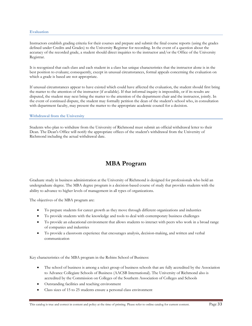#### **Evaluation**

Instructors establish grading criteria for their courses and prepare and submit the final course reports (using the grades defined under Credits and Grades) to the University Registrar for recording. In the event of a question about the accuracy of the recorded grade, a student should direct inquiries to the instructor and/or the Office of the University Registrar.

It is recognized that each class and each student in a class has unique characteristics that the instructor alone is in the best position to evaluate; consequently, except in unusual circumstances, formal appeals concerning the evaluation on which a grade is based are not appropriate.

If unusual circumstances appear to have existed which could have affected the evaluation, the student should first bring the matter to the attention of the instructor (if available). If that informal inquiry is impossible, or if its results are disputed, the student may next bring the matter to the attention of the department chair and the instructor, jointly. In the event of continued dispute, the student may formally petition the dean of the student's school who, in consultation with department faculty, may present the matter to the appropriate academic council for a decision.

#### **Withdrawal from the University**

Students who plan to withdraw from the University of Richmond must submit an official withdrawal letter to their Dean. The Dean's Office will notify the appropriate offices of the student's withdrawal from the University of Richmond including the actual withdrawal date.

## **MBA Program**

Graduate study in business administration at the University of Richmond is designed for professionals who hold an undergraduate degree. The MBA degree program is a decision-based course of study that provides students with the ability to advance to higher levels of management in all types of organizations.

The objectives of the MBA program are:

- To prepare students for career growth as they move through different organizations and industries
- To provide students with the knowledge and tools to deal with contemporary business challenges
- To provide an educational environment that allows students to interact with peers who work in a broad range of companies and industries
- To provide a classroom experience that encourages analysis, decision-making, and written and verbal communication

Key characteristics of the MBA program in the Robins School of Business:

- The school of business is among a select group of business schools that are fully accredited by the Association to Advance Collegiate Schools of Business (AACSB International). The University of Richmond also is accredited by the Commission on Colleges of the Southern Association of Colleges and Schools
- Outstanding facilities and teaching environment
- Class sizes of 15 to 25 students ensure a personal class environment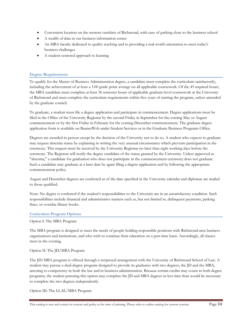- Convenient location on the western outskirts of Richmond, with ease of parking close to the business school
- A wealth of data in our business information center
- An MBA faculty dedicated to quality teaching and to providing a real-world orientation to meet today's business challenges
- A student-centered approach to learning

#### **Degree Requirements**

To qualify for the Master of Business Administration degree, a candidate must complete the curriculum satisfactorily, including the achievement of at least a 3.00 grade point average on all applicable coursework. Of the 45 required hours, the MBA candidate must complete at least 36 semester hours of applicable graduate-level coursework at the University of Richmond and must complete the curriculum requirements within five years of starting the program, unless amended by the graduate council.

To graduate, a student must file a degree application and participate in commencement. Degree applications must be filed in the Office of the University Registrar by the second Friday in September for the coming May or August commencement or by the first Friday in February for the coming December commencement. The graduate degree application form is available on BannerWeb under Student Services or in the Graduate Business Programs Office.

Degrees are awarded in person except by the decision of the University not to do so. A student who expects to graduate may request absentia status by explaining in writing the very unusual circumstance which prevents participation in the ceremony. This request must be received by the University Registrar no later than eight working days before the ceremony. The Registrar will notify the degree candidate of the status granted by the University. Unless approved as "absentia," a candidate for graduation who does not participate in the commencement ceremony does not graduate. Such a candidate may graduate at a later date by again filing a degree application and by following the appropriate commencement policy.

August and December degrees are conferred as of the date specified in the University calendar and diplomas are mailed to those qualified.

Note: No degree is conferred if the student's responsibilities to the University are in an unsatisfactory condition. Such responsibilities include financial and administrative matters such as, but not limited to, delinquent payments, parking fines, or overdue library books.

#### **Curriculum Program Options**

#### Option I: The MBA Program

The MBA program is designed to meet the needs of people holding responsible positions with Richmond-area business organizations and institutions, and who wish to continue their education on a part-time basis. Accordingly, all classes meet in the evening.

#### Option II: The JD/MBA Program

The JD/MBA program is offered through a reciprocal arrangement with the University of Richmond School of Law. A student may pursue a dual-degree program designed to provide its graduates with two degrees, the JD and the MBA, attesting to competency in both the law and in business administration. Because certain credits may count in both degree programs, the student pursuing this option may complete the JD and MBA degrees in less time than would be necessary to complete the two degrees independently.

Option III: The LL.M./MBA Program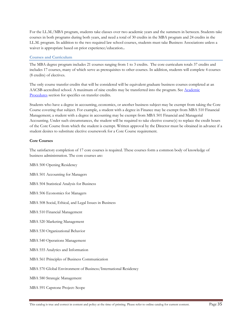For the LL.M./MBA program, students take classes over two academic years and the summers in between. Students take courses in both programs during both years, and need a total of 30 credits in the MBA program and 24 credits in the LL.M. program. In addition to the two required law school courses, students must take Business Associations unless a waiver is appropriate based on prior experience/education.**.** 

#### **Courses and Curriculum**

The MBA degree program includes 21 courses ranging from 1 to 3 credits. The core curriculum totals 37 credits and includes 17 courses, many of which serve as prerequisites to other courses. In addition, students will complete 4 courses (8 credits) of electives.

The only course transfer credits that will be considered will be equivalent graduate business courses completed at an AACSB-accredited school. A maximum of nine credits may be transferred into the program. See Academic Procedures section for specifics on transfer credits.

Students who have a degree in accounting, economics, or another business subject may be exempt from taking the Core Course covering that subject. For example, a student with a degree in Finance may be exempt from MBA 510 Financial Management; a student with a degree in accounting may be exempt from MBA 501 Financial and Managerial Accounting. Under such circumstances, the student will be required to take elective course(s) to replace the credit hours of the Core Course from which the student is exempt. Written approval by the Director must be obtained in advance if a student desires to substitute elective coursework for a Core Course requirement.

#### **Core Courses**

The satisfactory completion of 17 core courses is required. These courses form a common body of knowledge of business administration. The core courses are:

MBA 500 Opening Residency

- MBA 501 Accounting for Managers
- MBA 504 Statistical Analysis for Business
- MBA 506 Economics for Managers
- MBA 508 Social, Ethical, and Legal Issues in Business
- MBA 510 Financial Management
- MBA 520 Marketing Management
- MBA 530 Organizational Behavior
- MBA 540 Operations Management
- MBA 555 Analytics and Information
- MBA 561 Principles of Business Communication
- MBA 570 Global Environment of Business/International Residency
- MBA 580 Strategic Management
- MBA 591 Capstone Project: Scope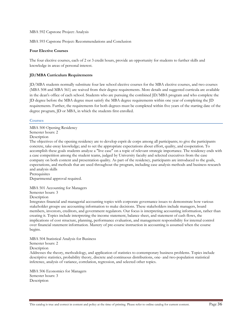MBA 592 Capstone Project: Analysis

MBA 593 Capstone Project: Recommendations and Conclusion

#### **Four Elective Courses**

The four elective courses, each of 2 or 3 credit hours, provide an opportunity for students to further skills and knowledge in areas of personal interest.

#### **JD/MBA Curriculum Requirements**

JD/MBA students normally substitute four law school elective courses for the MBA elective courses, and two courses (MBA 508 and MBA 561) are waived from their degree requirements. More details and suggested curricula are available in the dean's office of each school. Students who are pursuing the combined JD/MBA program and who complete the JD degree before the MBA degree must satisfy the MBA degree requirements within one year of completing the JD requirements. Further, the requirements for both degrees must be completed within five years of the starting date of the degree program, JD or MBA, in which the students first enrolled.

#### **Courses**

MBA 500 Opening Residency Semester hours: 2 Description The objectives of the opening residency are to develop esprit de corps among all participants; to give the participants

concrete, take-away knowledge; and to set the appropriate expectations about effort, quality, and cooperation. To accomplish these goals students analyze a "live case" on a topic of relevant strategic importance. The residency ends with a case competition among the student teams, judged by University faculty and selected executives from the case company on both content and presentation quality. As part of the residency, participants are introduced to the goals, expectations, and methods that are used throughout the program, including case analysis methods and business research and analysis skills

**Prerequisites** Departmental approval required.

MBA 501 Accounting for Managers

Semester hours: 3

Description

Integrates financial and managerial accounting topics with corporate governance issues to demonstrate how various stakeholder groups use accounting information to make decisions. These stakeholders include managers, board members, investors, creditors, and government regulators. Our focus is interpreting accounting information, rather than creating it. Topics include interpreting the income statement, balance sheet, and statement of cash flows, the implications of cost structure, planning, performance evaluation, and management responsibility for internal control over financial statement information. Mastery of pre-course instruction in accounting is assumed when the course begins.

MBA 504 Statistical Analysis for Business

## Semester hours: 2

**Description** 

Addresses the theory, methodology, and application of statistics to contemporary business problems. Topics include descriptive statistics, probability theory, discrete and continuous distributions, one- and two-population statistical inference, analysis of variance, correlation, regression, and selected other topics.

MBA 506 Economics for Managers Semester hours: 3 Description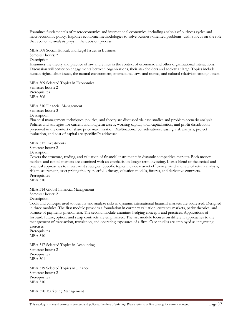Examines fundamentals of macroeconomics and international economics, including analysis of business cycles and macroeconomic policy. Explores economic methodologies to solve business-oriented problems, with a focus on the role that economic analysis plays in the decision process.

MBA 508 Social, Ethical, and Legal Issues in Business

Semester hours: 2

**Description** 

Examines the theory and practice of law and ethics in the context of economic and other organizational interactions. Discussion will center on engagements between organizations, their stakeholders and society at large. Topics include human rights, labor issues, the natural environment, international laws and norms, and cultural relativism among others.

MBA 509 Selected Topics in Economics Semester hours: 2 **Prerequisites** MBA 506

MBA 510 Financial Management Semester hours: 3 Description

Financial management techniques, policies, and theory are discussed via case studies and problem-scenario analysis. Policies and strategies for current and longterm assets, working capital, total capitalization, and profit distribution presented in the context of share price maximization. Multinational considerations, leasing, risk analysis, project evaluation, and cost of capital are specifically addressed.

MBA 512 Investments Semester hours: 2

**Description** 

Covers the structure, trading, and valuation of financial instruments in dynamic competitive markets. Both money markets and capital markets are examined with an emphasis on longer-term investing. Uses a blend of theoretical and practical approaches to investment strategies. Specific topics include market efficiency, yield and rate of return analysis, risk measurement, asset pricing theory, portfolio theory, valuation models, futures, and derivative contracts. Prerequisites

MBA 510

MBA 514 Global Financial Management Semester hours: 2

Description

Tools and concepts used to identify and analyze risks in dynamic international financial markets are addressed. Designed in three modules. The first module provides a foundation in currency valuation, currency markets, parity theories, and balance of payments phenomena. The second module examines hedging concepts and practices. Applications of forward, future, option, and swap contracts are emphasized. The last module focuses on different approaches to the management of transaction, translation, and operating exposures of a firm. Case studies are employed as integrating exercises.

**Prerequisites** MBA 510

MBA 517 Selected Topics in Accounting Semester hours: 2 **Prerequisites** MBA 501

MBA 519 Selected Topics in Finance Semester hours: 2 Prerequisites MBA 510

MBA 520 Marketing Management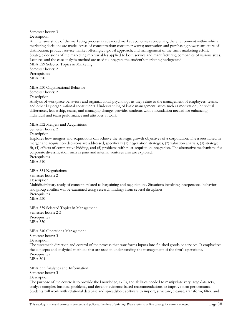#### Semester hours: 3 Description

An intensive study of the marketing process in advanced market economies concerning the environment within which marketing decisions are made. Areas of concentration: consumer wants; motivation and purchasing power; structure of distribution; product service market offerings; a global approach; and management of the firms marketing effort. Strategic decisions of the marketing mix variables applied to both service and manufacturing companies of various sizes. Lectures and the case analysis method are used to integrate the student's marketing background. MBA 529 Selected Topics in Marketing

Semester hours: 2 Prerequisites MBA 520

MBA 530 Organizational Behavior Semester hours: 2

Description

Analysis of workplace behaviors and organizational psychology as they relate to the management of employees, teams, and other key organizational constituents. Understanding of basic management issues such as motivation, individual differences, leadership, teams, and managing change, provides students with a foundation needed for enhancing individual and team performance and attitudes at work.

MBA 532 Mergers and Acquisitions

Semester hours: 2 **Description** 

Explores how mergers and acquisitions can achieve the strategic growth objectives of a corporation. The issues raised in merger and acquisition decisions are addressed, specifically (1) negotiation strategies, (2) valuation analysis, (3) strategic fit, (4) effects of competitive bidding, and (5) problems with post-acquisition integration. The alternative mechanisms for corporate diversification such as joint and internal ventures also are explored. Prerequisites

MBA 510

MBA 534 Negotiations Semester hours: 2 **Description** Multidisciplinary study of concepts related to bargaining and negotiations. Situations involving interpersonal behavior and group conflict will be examined using research findings from several disciplines. Prerequisites MBA 530

MBA 539 Selected Topics in Management Semester hours: 2-3 Prerequisites MBA 530

MBA 540 Operations Management Semester hours: 3 Description The systematic direction and control of the process that transforms inputs into finished goods or services. It emphasizes the concepts and analytical methods that are used in understanding the management of the firm's operations. **Prerequisites** MBA 504

MBA 555 Analytics and Information Semester hours: 3 Description The purpose of the course is to provide the knowledge, skills, and abilities needed to manipulate very large data sets, analyze complex business problems, and develop evidence-based recommendations to improve firm performance. Students will work with relational database and spreadsheet software to import, structure, cleanse, transform, filter, and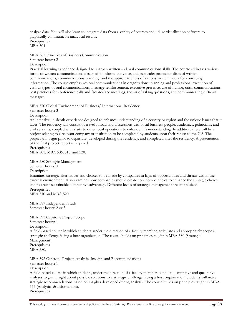analyze data. You will also learn to integrate data from a variety of sources and utilize visualization software to graphically communicate analytical results. Prerequisites MBA 504

MBA 561 Principles of Business Communication Semester hours: 2

**Description** 

Practical learning experience designed to sharpen written and oral communications skills. The course addresses various forms of written communications designed to inform, convince, and persuade: professionalism of written communications, communications planning, and the appropriateness of various written media for conveying information. The course emphasizes oral communications in organizations: planning and professional execution of various types of oral communications, message reinforcement, executive presence, use of humor, crisis communications, best practices for conference calls and face-to-face meetings, the art of asking questions, and communicating difficult messages.

MBA 570 Global Environment of Business/ International Residency

Semester hours: 3 Description

An intensive, in-depth experience designed to enhance understanding of a country or region and the unique issues that it faces. The residency will consist of travel abroad and discussions with local business people, academics, politicians, and civil servants, coupled with visits to other local operations to enhance this understanding. In addition, there will be a project relating to a relevant company or institution to be completed by students upon their return to the U.S. The project will begin prior to departure, developed during the residency, and completed after the residency. A presentation of the final project report is required.

Prerequisites

MBA 501, MBA 506, 510, and 520.

MBA 580 Strategic Management Semester hours: 3

**Description** 

Examines strategic alternatives and choices to be made by companies in light of opportunities and threats within the external environment. Also examines how companies should create core competencies to enhance the strategic choice and to create sustainable competitive advantage. Different levels of strategic management are emphasized. Prerequisites MBA 510 and MBA 520

MBA 587 Independent Study Semester hours: 2 or 3

MBA 591 Capstone Project: Scope Semester hours: 1 **Description** A field-based course in which students, under the direction of a faculty member, articulate and appropriately scope a strategic challenge facing a host organization. The course builds on principles taught in MBA 580 (Strategic Management). Prerequisites MBA 580.

MBA 592 Capstone Project: Analysis, Insights and Recommendations

Semester hours: 1 **Description** 

A field-based course in which students, under the direction of a faculty member, conduct quantitative and qualitative analyses to gain insight about possible solutions to a strategic challenge facing a host organization. Students will make strategic recommendations based on insights developed during analysis. The course builds on principles taught in MBA 555 (Analytics & Information). Prerequisites

This catalog is true and correct in content and policy at the time of printing. Please refer to online catalog for current content. Page 39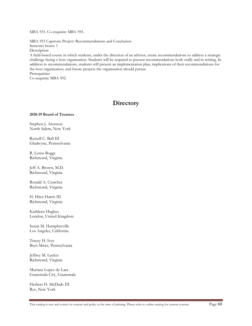MBA 555. Co-requisite MBA 593.

MBA 593 Capstone Project: Recommendations and Conclusion Semester hours: 1

Description

A field-based course in which students, under the direction of an advisor, create recommendations to address a strategic challenge facing a host organization. Students will be required to present recommendations both orally and in writing. In addition to recommendations, students will present an implementation plan, implications of their recommendations for the host organization, and future projects the organization should pursue. Prerequisites

Co-requisite MBA 592.

## **Directory**

#### **2018-19 Board of Trustees**

Stephen J. Aronson North Salem, New York

Russell C. Ball III Gladwyne, Pennsylvania

R. Lewis Boggs Richmond, Virginia

Jeff A. Brown, M.D. Richmond, Virginia

Ronald A. Crutcher Richmond, Virginia

H. Hiter Harris III Richmond, Virginia

Kathleen Hughes London, United Kingdom

Susan M. Humphreville Los Angeles, California

Tracey H. Ivey Bryn Mawr, Pennsylvania

Jeffrey M. Lacker Richmond, Virginia

Mariana Lopez de Lara Guatemala City, Guatemala

Herbert H. McDade III Rye, New York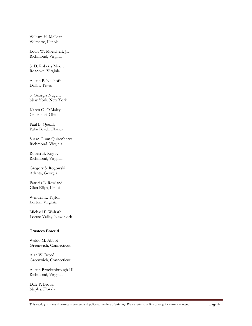William H. McLean Wilmette, Illinois

Louis W. Moelchert, Jr. Richmond, Virginia

S. D. Roberts Moore Roanoke, Virginia

Austin P. Neuhoff Dallas, Texas

S. Georgia Nugent New York, New York

Karen G. O'Maley Cincinnati, Ohio

Paul B. Queally Palm Beach, Florida

Susan Gunn Quisenberry Richmond, Virginia

Robert E. Rigsby Richmond, Virginia

Gregory S. Rogowski Atlanta, Georgia

Patricia L. Rowland Glen Ellyn, Illinois

Wendell L. Taylor Lorton, Virginia

Michael P. Walrath Locust Valley, New York

#### **Trustees Emeriti**

Waldo M. Abbot Greenwich, Connecticut

Alan W. Breed Greenwich, Connecticut

Austin Brockenbrough III Richmond, Virginia

Dale P. Brown Naples, Florida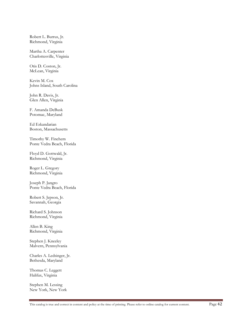Robert L. Burrus, Jr. Richmond, Virginia

Martha A. Carpenter Charlottesville, Virginia

Otis D. Coston, Jr. McLean, Virginia

Kevin M. Cox Johns Island, South Carolina

John R. Davis, Jr. Glen Allen, Virginia

F. Amanda DeBusk Potomac, Maryland

Ed Eskandarian Boston, Massachusetts

Timothy W. Finchem Ponte Vedra Beach, Florida

Floyd D. Gottwald, Jr. Richmond, Virginia

Roger L. Gregory Richmond, Virginia

Joseph P. Jangro Ponte Vedra Beach, Florida

Robert S. Jepson, Jr. Savannah, Georgia

Richard S. Johnson Richmond, Virginia

Allen B. King Richmond, Virginia

Stephen J. Kneeley Malvern, Pennsylvania

Charles A. Ledsinger, Jr. Bethesda, Maryland

Thomas C. Leggett Halifax, Virginia

Stephen M. Lessing New York, New York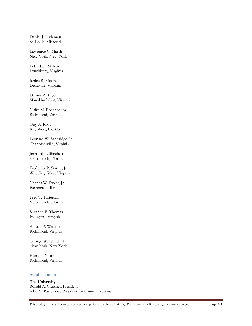Daniel J. Ludeman St. Louis, Missouri

Lawrence C. Marsh New York, New York

Leland D. Melvin Lynchburg, Virginia

Janice R. Moore Deltaville, Virginia

Dennis A. Pryor Manakin-Sabot, Virginia

Claire M. Rosenbaum Richmond, Virginia

Guy A. Ross Key West, Florida

Leonard W. Sandridge, Jr. Charlottesville, Virginia

Jeremiah J. Sheehan Vero Beach, Florida

Frederick P. Stamp, Jr. Wheeling, West Virginia

Charles W. Sweet, Jr. Barrington, Illinois

Fred T. Tattersall Vero Beach, Florida

Suzanne F. Thomas Irvington, Virginia

Allison P. Weinstein Richmond, Virginia

George W. Wellde, Jr. New York, New York

Elaine J. Yeatts Richmond, Virginia

#### **Administration**

**The University**  Ronald A. Crutcher, President John M. Barry, Vice President for Communications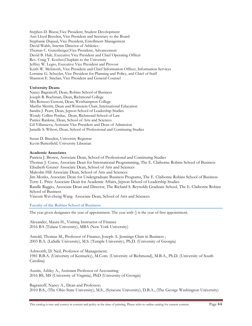Stephen D. Bisese,Vice President, Student Development Ann Lloyd Breeden, Vice President and Secretary to the Board Stephanie Dupaul, Vice President, Enrollment Management David Walsh, Interim Director of Athletics Thomas C. Gutenberger,Vice President, Advancement David B. Hale, Executive Vice President and Chief Operating Officer Rev. Craig T. Kocher,Chaplain to the University Jeffrey W. Legro, Executive Vice President and Provost Keith W. McIntosh, Vice President and Chief Information Officer, Information Services Lorraine G. Schuyler, Vice President for Planning and Policy, and Chief of Staff Shannon E. Sinclair, Vice President and General Counsel

#### **University Deans**

Nancy Bagranoff, Dean, Robins School of Business Joseph R. Boehman, Dean, Richmond College Mia Reinoso Genoni, Dean, Westhampton College Martha Merritt, Dean and Weinstein Chair, International Education Sandra J. Peart, Dean, Jepson School of Leadership Studies Wendy Collins Perdue, Dean, Richmond School of Law Patrice Rankine, Dean, School of Arts and Sciences Gil Villanueva, Assistant Vice President and Dean of Admission Jamelle S. Wilson, Dean, School of Professional and Continuing Studies

Susan D. Breeden, University Registrar Kevin Butterfield, University Librarian

#### **Academic Associates**

Patricia J. Brown, Associate Dean, School of Professional and Continuing Studies Thomas J. Cosse, Associate Dean for International Programming, The E. Claiborne Robins School of Business Elisabeth Gruner Associate Dean, School of Arts and Sciences Malcolm Hill Associate Dean, School of Arts and Sciences Jim Monks, Associate Dean for Undergraduate Business Programs, The E. Claiborne Robins School of Business Terry L. Price Associate Dean for Academic Affairs, Jepson School of Leadership Studies Randle Raggio, Associate Dean and Director, The Richard S. Reynolds Graduate School, The E. Claiborne Robins School of Business Vincent Wei-cheng Wang Associate Dean, School of Arts and Sciences

**Faculty of the Robins School of Business** 

The year given designates the year of appointment. The year with () is the year of first appointment.

Alexander, Maura H., Visiting Instructor of Finance 2016 BA (Tulane University), MBA (New York University)

Arnold, Thomas M., Professor of Finance, Joseph A. Jennings Chair in Business ; 2003 B.A. (LaSalle University), M.S. (Temple University), Ph.D. (University of Georgia)

Ashworth, D. Neil, Professor of Management; 1981 B.B.A. (University of Kentucky), M.Com. (University of Richmond), M.B.A., Ph.D. (University of South Carolina)

Austin, Ashley A., Assistant Professor of Accounting 2016 BS, MS (University of Virginia), PhD (University of Georgia)

Bagranoff, Nancy A., Dean and Professor; 2010 B.S., (The Ohio State University), M.S., (Syracuse University), D.B.A., (The George Washington University)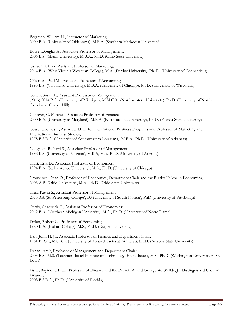Bergman, William H., Instructor of Marketing; 2009 B.A. (University of Oklahoma), M.B.A. (Southern Methodist University)

Bosse, Douglas A., Associate Professor of Management; 2006 B.S. (Miami University), M.B.A., Ph.D. (Ohio State University)

Carlson, Jeffrey, Assistant Professor of Marketing; 2014 B.A. (West Virginia Wesleyan College), M.A. (Purdue University), Ph. D. (University of Connecticut)

Clikeman, Paul M., Associate Professor of Accounting; 1995 B.S. (Valparaiso University), M.B.A. (University of Chicago), Ph.D. (University of Wisconsin)

Cohen, Susan L., Assistant Professor of Management; (2013) 2014 B.A. (University of Michigan), M.M.G.T. (Northwestern University), Ph.D. (University of North Carolina at Chapel Hill)

Conover, C. Mitchell, Associate Professor of Finance; 2000 B.A. (University of Maryland), M.B.A. (East Carolina University), Ph.D. (Florida State University)

Cosse, Thomas J., Associate Dean for International Business Programs and Professor of Marketing and International Business Studies; 1975 B.S.B.A. (University of Southwestern Louisiana), M.B.A., Ph.D. (University of Arkansas)

Coughlan, Richard S., Associate Professor of Management; 1998 B.S. (University of Virginia), M.B.A, M.S., PhD. (University of Arizona)

Craft, Erik D., Associate Professor of Economics; 1994 B.A. (St. Lawrence University), M.A., Ph.D. (University of Chicago)

Croushore, Dean D., Professor of Economics, Department Chair and the Rigsby Fellow in Economics; 2003 A.B. (Ohio University), M.A., Ph.D. (Ohio State University)

Cruz, Kevin S., Assistant Professor of Management 2015 AA (St. Petersburg College), BS (University of South Florida), PhD (University of Pittsburgh)

Curtis, Chadwick C., Assistant Professor of Economics; 2012 B.A. (Northern Michigan University), M.A., Ph.D. (University of Notre Dame)

Dolan, Robert C., Professor of Economics; 1980 B.A. (Hobart College), M.S., Ph.D. (Rutgers University)

Earl, John H. Jr., Associate Professor of Finance and Department Chair; 1981 B.B.A., M.S.B.A. (University of Massachusetts at Amherst), Ph.D. (Arizona State University)

Eynan, Amit, Professor of Management and Department Chair,; 2003 B.S., M.S. (Technion-Israel Institute of Technology, Haifa, Israel), M.S., Ph.D. (Washington University in St. Louis)

Fishe, Raymond P. H., Professor of Finance and the Patricia A. and George W. Wellde, Jr. Distinguished Chair in Finance; 2003 B.S.B.A., Ph.D. (University of Florida)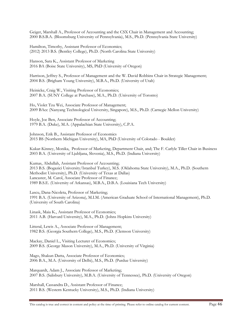Geiger, Marshall A., Professor of Accounting and the CSX Chair in Management and Accounting; 2000 B.S.B.A. (Bloomsburg University of Pennsylvania), M.S., Ph.D. (Pennsylvania State University)

Hamilton, Timothy, Assistant Professor of Economics; (2012) 2013 B.S. (Bentley College), Ph.D. (North Carolina State University)

Hanson, Sara K., Assistant Professor of Marketing 2016 BA (Boise State University), MS, PhD (University of Oregon)

Harrison, Jeffrey S., Professor of Management and the W. David Robbins Chair in Strategic Management; 2004 B.S. (Brigham Young University), M.B.A., Ph.D. (University of Utah)

Heinicke, Craig W., Visiting Professor of Economics; 2007 B.A. (SUNY College at Purchase), M.A., Ph.D. (University of Toronto)

Ho, Violet Tzu Wei, Associate Professor of Management; 2009 BAcc (Nanyang Technological University, Singapore), M.S., Ph.D. (Carnegie Mellon University)

Hoyle, Joe Ben, Associate Professor of Accounting; 1979 B.A. (Duke), M.A. (Appalachian State University), C.P.A.

Johnson, Erik B., Assistant Professor of Economics 2015 BS (Northern Michigan University), MA, PhD (University of Colorado - Boulder)

Kukar-Kinney, Monika, Professor of Marketing, Department Chair, and; The F. Carlyle Tiller Chair in Business 2003 B.A. (University of Ljubljana, Slovenia), M.S., Ph.D. (Indiana University)

Kumas, Abdullah, Assistant Professor of Accounting; 2013 B.S. (Bogazici University/Istanbul Turkey), M.S. (Oklahoma State University), M.A., Ph.D. (Southern Methodist University), Ph.D. (University of Texas at Dallas) Lancaster, M. Carol, Associate Professor of Finance; 1989 B.S.E. (University of Arkansas), M.B.A., D.B.A. (Louisiana Tech University)

Lascu, Dana-Nicoleta, Professor of Marketing; 1991 B.A. (University of Arizona), M.I.M. (American Graduate School of International Management), Ph.D. (University of South Carolina)

Linask, Maia K., Assistant Professor of Economics; 2011 A.B. (Harvard University), M.A., Ph.D. (Johns Hopkins University)

Litteral, Lewis A., Associate Professor of Management; 1982 B.S. (Georgia Southern College), M.S., Ph.D. (Clemson University)

Mackay, Daniel L., Visiting Lecturer of Economics; 2009 B.S. (George Mason University), M.A., Ph.D. (University of Virginia)

Mago, Shakun Datta, Associate Professor of Economics; 2006 B.A., M.A. (University of Delhi), M.S., Ph.D. (Purdue University)

Marquardt, Adam J., Associate Professor of Marketing; 2007 B.S. (Salisbury University), M.B.A. (University of Tennessee), Ph.D. (University of Oregon)

Marshall, Cassandra D., Assistant Professor of Finance; 2011 B.S. (Western Kentucky University), M.S., Ph.D. (Indiana University)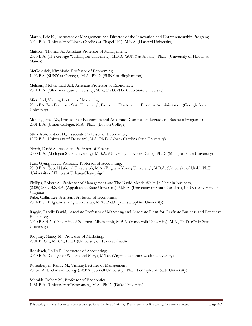Martin, Eric K., Instructor of Management and Director of the Innovation and Entrepreneurship Program; 2014 B.A. (University of North Carolina at Chapel Hill), M.B.A. (Harvard University)

Mattson, Thomas A., Assistant Professor of Management; 2013 B.A. (The George Washington University), M.B.A. (SUNY at Albany), Ph.D. (University of Hawaii at Manoa)

McGoldrick, KimMarie, Professor of Economics; 1992 B.S. (SUNY at Oswego), M.A., Ph.D. (SUNY at Binghamton)

Mehkari, Mohammad Saif, Assistant Professor of Economics; 2011 B.A. (Ohio Wesleyan University), M.A., Ph.D. (The Ohio State University)

Mier, Joel, Visiting Lecturer of Marketing 2016 BA (San Francisco State University), Executive Doctorate in Business Administration (Georgia State University)

Monks, James W., Professor of Economics and Associate Dean for Undergraduate Business Programs ; 2001 B.A. (Union College), M.A., Ph.D. (Boston College)

Nicholson, Robert H., Associate Professor of Economics; 1972 B.S. (University of Delaware), M.S., Ph.D. (North Carolina State University)

North, David S., Associate Professor of Finance; 2000 B.A. (Michigan State University), M.B.A. (University of Notre Dame), Ph.D. (Michigan State University)

Paik, Gyung Hyun, Associate Professor of Accounting; 2010 B.A. (Seoul National University), M.A. (Brigham Young University), M.B.A. (University of Utah), Ph.D. (University of Illinois at Urbana-Champaign)

Phillips, Robert A., Professor of Management and The David Meade White Jr. Chair in Business; (2005) 2009 B.S.B.A. (Appalachian State University), M.B.A. (University of South Carolina), Ph.D. (University of Virginia) Rabe, Collin Lee, Assistant Professor of Economics; 2014 B.S. (Brigham Young University), M.A., Ph.D. (Johns Hopkins University)

Raggio, Randle David, Associate Professor of Marketing and Associate Dean for Graduate Business and Executive Education;

2010 B.S.B.A. (University of Southern Mississippi), M.B.A. (Vanderbilt University), M.A., Ph.D. (Ohio State University)

Ridgway, Nancy M., Professor of Marketing; 2001 B.B.A., M.B.A., Ph.D. (University of Texas at Austin)

Rohrbach, Philip S., Instructor of Accounting; 2010 B.A. (College of William and Mary), M.Tax (Virginia Commonwealth University)

Rosenberger, Randy M., Visiting Lecturer of Management 2016-BA (Dickinson College), MBA (Cornell University), PhD (Pennsylvania State University)

Schmidt, Robert M., Professor of Economics; 1981 B.A. (University of Wisconsin), M.A., Ph.D. (Duke University)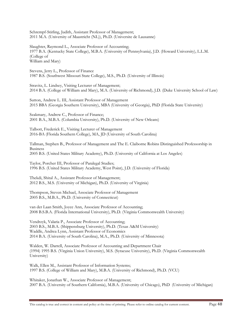Schrempf-Stirling, Judith, Assistant Professor of Management; 2011 M.A. (University of Maastricht (NL)), Ph.D. (Universite de Lausanne)

Slaughter, Raymond L., Associate Professor of Accounting; 1977 B.A. (Kentucky State College), M.B.A. (University of Pennsylvania), J.D. (Howard University), L.L.M. (College of William and Mary)

Stevens, Jerry L., Professor of Finance 1987 B.S. (Southwest Missouri State College), M.S., Ph.D. (University of Illinois)

Stravitz, L. Lindsey, Visiting Lecturer of Management; 2014 B.A. (College of William and Mary), M.A. (University of Richmond), J.D. (Duke University School of Law)

Sutton, Andrew L. III, Assistant Professor of Management 2015 BBA (Georgia Southern University), MBA (University of Georgia), PhD (Florida State University)

Szakmary, Andrew C., Professor of Finance; 2001 B.A., M.B.A. (Columbia University), Ph.D. (University of New Orleans)

Talbott, Frederick E., Visiting Lecturer of Management 2016-BA (Florida Southern College), MA, JD (University of South Carolina)

Tallman, Stephen B., Professor of Management and The E. Claiborne Robins Distinguished Professorship in Business 2005 B.S. (United States Military Academy), Ph.D. (University of California at Los Angeles)

Taylor, Porcher III, Professor of Paralegal Studies; 1996 B.S. (United States Military Academy, West Point), J.D. (University of Florida)

Thekdi, Shital A., Assistant Professor of Management; 2012 B.S., M.S. (University of Michigan), Ph.D. (University of Virginia)

Thompson, Steven Michael, Associate Professor of Management 2005 B.S., M.B.A., Ph.D. (University of Connecticut)

van der Laan Smith, Joyce Ann, Associate Professor of Accounting; 2008 B.S.B.A. (Florida International University), Ph.D. (Virginia Commonwealth University)

Vendrzyk, Valaria P., Associate Professor of Accounting; 2003 B.S., M.B.A. (Shippensburg University), Ph.D. (Texas A&M University) Waddle, Andrea Lynn, Assistant Professor of Economics 2014 B.A. (University of South Carolina), M.A., Ph.D. (University of Minnesota)

Walden, W. Darrell, Associate Professor of Accounting and Department Chair (1994) 1995 B.S. (Virginia Union University), M.S. (Syracuse University), Ph.D. (Virginia Commonwealth University)

Walk, Ellen M., Assistant Professor of Information Systems; 1997 B.S. (College of William and Mary), M.B.A. (University of Richmond), Ph.D. (VCU)

Whitaker, Jonathan W., Associate Professor of Management; 2007 B.A. (University of Southern California), M.B.A. (University of Chicago), PhD (University of Michigan)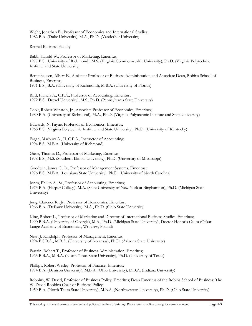Wight, Jonathan B., Professor of Economics and International Studies; 1982 B.A. (Duke University), M.A., Ph.D. (Vanderbilt University)

Retired Business Faculty

Babb, Harold W., Professor of Marketing, Emeritus, 1977 B.S. (University of Richmond), M.S. (Virginia Commonwealth University), Ph.D. (Virginia Polytechnic Institute and State University)

Bettenhausen, Albert E., Assistant Professor of Business Administration and Associate Dean, Robins School of Business, Emeritus; 1971 B.S., B.A. (University of Richmond), M.B.A. (University of Florida)

Bird, Francis A., C.P.A., Professor of Accounting, Emeritus; 1972 B.S. (Drexel University), M.S., Ph.D. (Pennsylvania State University)

Cook, Robert Winston, Jr., Associate Professor of Economics, Emeritus; 1980 B.A. (University of Richmond), M.A., Ph.D. (Virginia Polytechnic Institute and State University)

Edwards, N. Fayne, Professor of Economics, Emeritus; 1968 B.S. (Virginia Polytechnic Institute and State University), Ph.D. (University of Kentucky)

Fagan, Marbury A., II, C.P.A., Instructor of Accounting; 1994 B.S., M.B.A. (University of Richmond)

Giese, Thomas D., Professor of Marketing, Emeritus; 1978 B.S., M.S. (Southern Illinois University), Ph.D. (University of Mississippi)

Goodwin, James C., Jr., Professor of Management Systems, Emeritus; 1976 B.S., M.B.A. (Louisiana State University), Ph.D. (University of North Carolina)

Jones, Phillip A., Sr., Professor of Accounting, Emeritus; 1973 B.A. (Harpur College), M.A. (State University of New York at Binghamton), Ph.D. (Michigan State University)

Jung, Clarence R., Jr., Professor of Economics, Emeritus; 1966 B.A. (DePauw University), M.A., Ph.D. (Ohio State University)

King, Robert L., Professor of Marketing and Director of International Business Studies, Emeritus; 1990 B.B.A. (University of Georgia), M.A., Ph.D. (Michigan State University), Doctor Honoris Causa (Oskar Lange Academy of Economics, Wroclaw, Poland)

New, J. Randolph, Professor of Management, Emeritus; 1994 B.S.B.A., M.B.A. (University of Arkansas), Ph.D. (Arizona State University)

Partain, Robert T., Professor of Business Administration, Emeritus; 1963 B.B.A., M.B.A. (North Texas State University), Ph.D. (University of Texas)

Phillips, Robert Wesley, Professor of Finance, Emeritus; 1974 B.A. (Denison University), M.B.A. (Ohio University), D.B.A. (Indiana University)

Robbins, W. David, Professor of Business Policy, Emeritus; Dean Emeritus of the Robins School of Business; The W. David Robbins Chair of Business Policy; 1959 B.A. (North Texas State University), M.B.A. (Northwestern University), Ph.D. (Ohio State University)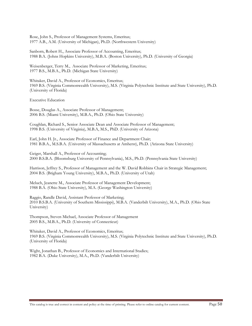Rose, John S., Professor of Management Systems, Emeritus; 1977 A.B., A.M. (University of Michigan), Ph.D. (Northwestern University)

Sanborn, Robert H., Associate Professor of Accounting, Emeritus; 1988 B.A. (Johns Hopkins University), M.B.A. (Boston University), Ph.D. (University of Georgia)

Weisenberger, Terry M., Associate Professor of Marketing, Emeritus; 1977 B.S., M.B.A., Ph.D. (Michigan State University)

Whitaker, David A., Professor of Economics, Emeritus; 1969 B.S. (Virginia Commonwealth University), M.S. (Virginia Polytechnic Institute and State University), Ph.D. (University of Florida)

Executive Education

Bosse, Douglas A., Associate Professor of Management; 2006 B.S. (Miami University), M.B.A., Ph.D. (Ohio State University)

Coughlan, Richard S., Senior Associate Dean and Associate Professor of Management; 1998 B.S. (University of Virginia), M.B.A, M.S., PhD. (University of Arizona)

Earl, John H. Jr., Associate Professor of Finance and Department Chair; 1981 B.B.A., M.S.B.A. (University of Massachusetts at Amherst), Ph.D. (Arizona State University)

Geiger, Marshall A., Professor of Accounting; 2000 B.S.B.A. (Bloomsburg University of Pennsylvania), M.S., Ph.D. (Pennsylvania State University)

Harrison, Jeffrey S., Professor of Management and the W. David Robbins Chair in Strategic Management; 2004 B.S. (Brigham Young University), M.B.A., Ph.D. (University of Utah)

Meluch, Jeanette M., Associate Professor of Management Development; 1988 B.A. (Ohio State University), M.A. (George Washington University)

Raggio, Randle David, Assistant Professor of Marketing; 2010 B.S.B.A. (University of Southern Mississippi), M.B.A. (Vanderbilt University), M.A., Ph.D. (Ohio State University)

Thompson, Steven Michael, Associate Professor of Management 2005 B.S., M.B.A., Ph.D. (University of Connecticut)

Whitaker, David A., Professor of Economics, Emeritus; 1969 B.S. (Virginia Commonwealth University), M.S. (Virginia Polytechnic Institute and State University), Ph.D. (University of Florida)

Wight, Jonathan B., Professor of Economics and International Studies; 1982 B.A. (Duke University), M.A., Ph.D. (Vanderbilt University)